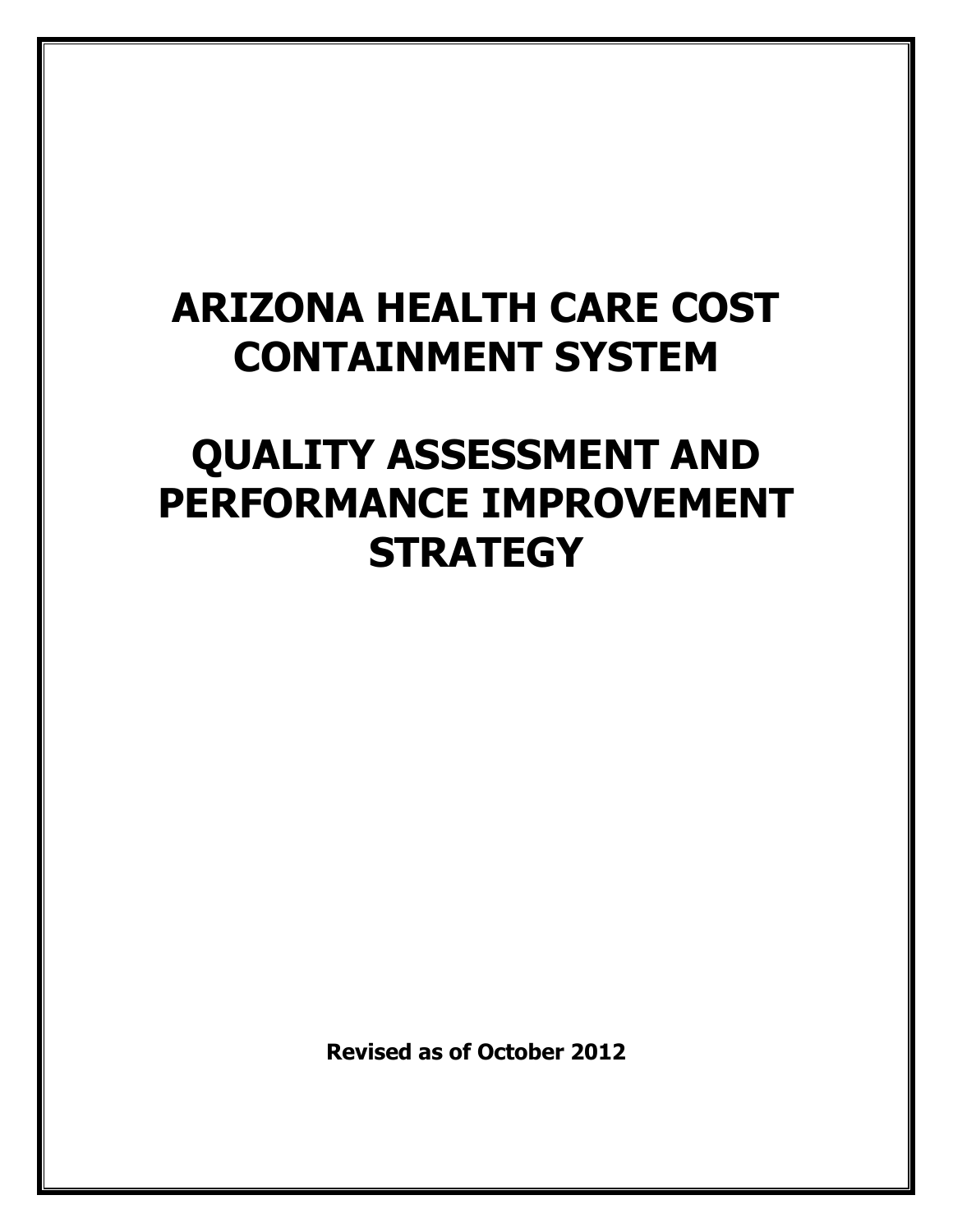## **ARIZONA HEALTH CARE COST CONTAINMENT SYSTEM**

## **QUALITY ASSESSMENT AND PERFORMANCE IMPROVEMENT STRATEGY**

**Revised as of October 2012**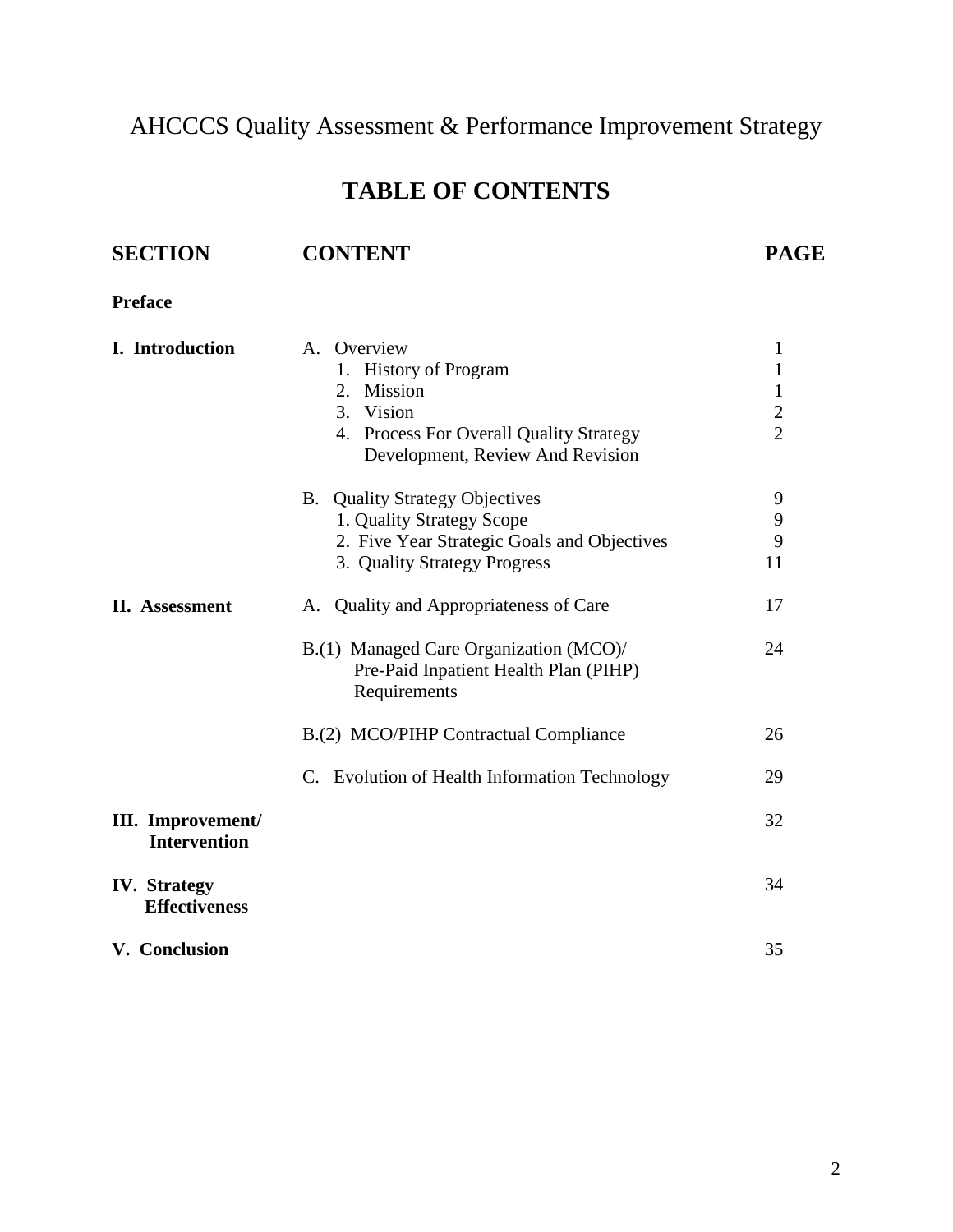AHCCCS Quality Assessment & Performance Improvement Strategy

## **TABLE OF CONTENTS**

# **SECTION CONTENT PAGE**

**Preface**

| I. Introduction                             | A. Overview<br><b>History of Program</b><br>1.<br>Mission<br>2.<br>3.<br>Vision<br>4. Process For Overall Quality Strategy<br>Development, Review And Revision | $\mathbf{1}$<br>1<br>$\mathbf{1}$<br>$\mathbf{2}$<br>$\overline{2}$ |
|---------------------------------------------|----------------------------------------------------------------------------------------------------------------------------------------------------------------|---------------------------------------------------------------------|
|                                             | <b>B.</b> Quality Strategy Objectives<br>1. Quality Strategy Scope<br>2. Five Year Strategic Goals and Objectives<br>3. Quality Strategy Progress              | 9<br>9<br>9<br>11                                                   |
| II. Assessment                              | A. Quality and Appropriateness of Care                                                                                                                         | 17                                                                  |
|                                             | B.(1) Managed Care Organization (MCO)/<br>Pre-Paid Inpatient Health Plan (PIHP)<br>Requirements                                                                | 24                                                                  |
|                                             | B.(2) MCO/PIHP Contractual Compliance                                                                                                                          | 26                                                                  |
|                                             | C. Evolution of Health Information Technology                                                                                                                  | 29                                                                  |
| III. Improvement/<br><b>Intervention</b>    |                                                                                                                                                                | 32                                                                  |
| <b>IV.</b> Strategy<br><b>Effectiveness</b> |                                                                                                                                                                | 34                                                                  |
| V. Conclusion                               |                                                                                                                                                                | 35                                                                  |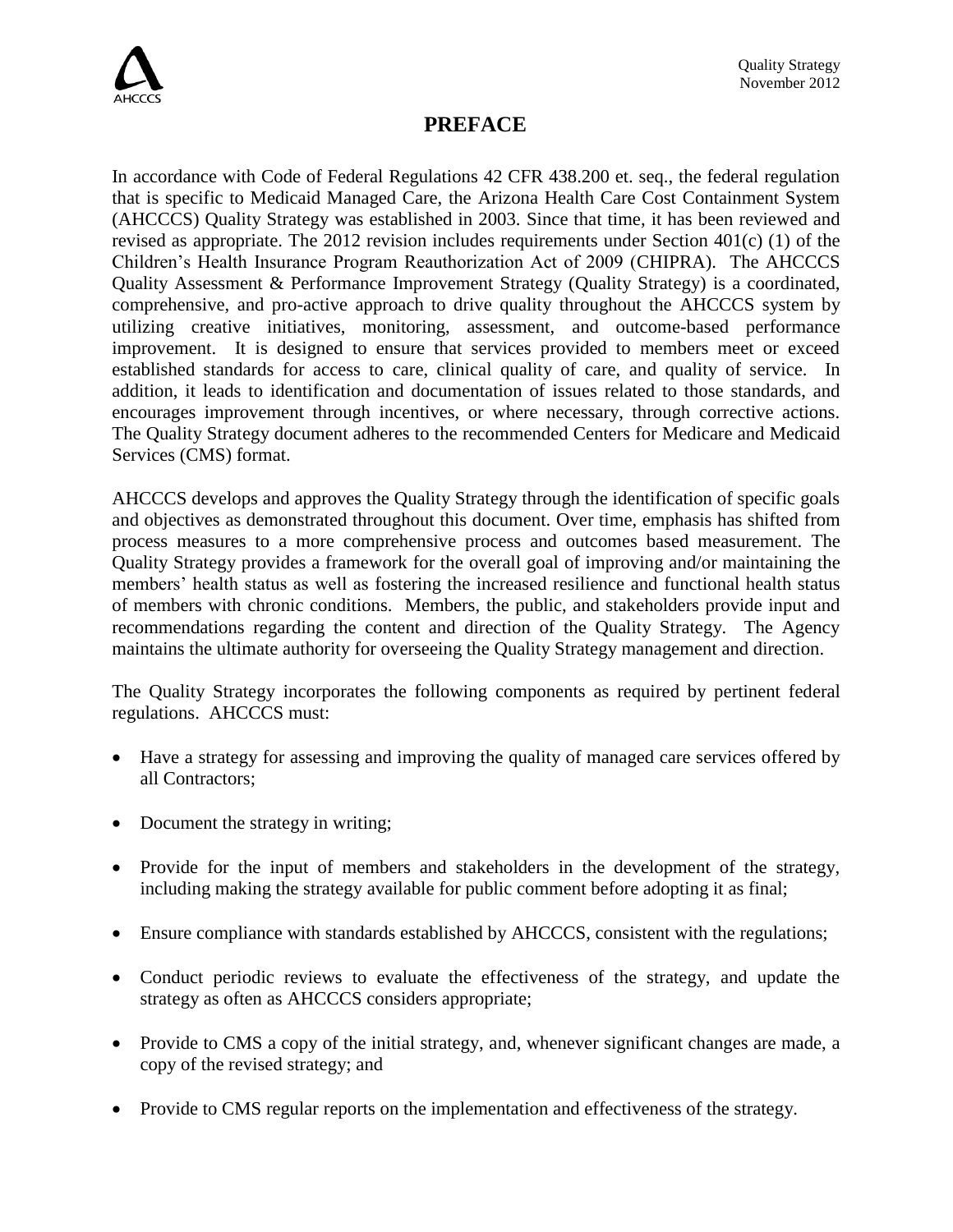

## **PREFACE**

In accordance with Code of Federal Regulations 42 CFR 438.200 et. seq., the federal regulation that is specific to Medicaid Managed Care, the Arizona Health Care Cost Containment System (AHCCCS) Quality Strategy was established in 2003. Since that time, it has been reviewed and revised as appropriate. The 2012 revision includes requirements under Section 401(c) (1) of the Children's Health Insurance Program Reauthorization Act of 2009 (CHIPRA). The AHCCCS Quality Assessment & Performance Improvement Strategy (Quality Strategy) is a coordinated, comprehensive, and pro-active approach to drive quality throughout the AHCCCS system by utilizing creative initiatives, monitoring, assessment, and outcome-based performance improvement. It is designed to ensure that services provided to members meet or exceed established standards for access to care, clinical quality of care, and quality of service. In addition, it leads to identification and documentation of issues related to those standards, and encourages improvement through incentives, or where necessary, through corrective actions. The Quality Strategy document adheres to the recommended Centers for Medicare and Medicaid Services (CMS) format.

AHCCCS develops and approves the Quality Strategy through the identification of specific goals and objectives as demonstrated throughout this document. Over time, emphasis has shifted from process measures to a more comprehensive process and outcomes based measurement. The Quality Strategy provides a framework for the overall goal of improving and/or maintaining the members' health status as well as fostering the increased resilience and functional health status of members with chronic conditions. Members, the public, and stakeholders provide input and recommendations regarding the content and direction of the Quality Strategy. The Agency maintains the ultimate authority for overseeing the Quality Strategy management and direction.

The Quality Strategy incorporates the following components as required by pertinent federal regulations. AHCCCS must:

- Have a strategy for assessing and improving the quality of managed care services offered by all Contractors;
- Document the strategy in writing;
- Provide for the input of members and stakeholders in the development of the strategy, including making the strategy available for public comment before adopting it as final;
- Ensure compliance with standards established by AHCCCS, consistent with the regulations;
- Conduct periodic reviews to evaluate the effectiveness of the strategy, and update the strategy as often as AHCCCS considers appropriate;
- Provide to CMS a copy of the initial strategy, and, whenever significant changes are made, a copy of the revised strategy; and
- Provide to CMS regular reports on the implementation and effectiveness of the strategy.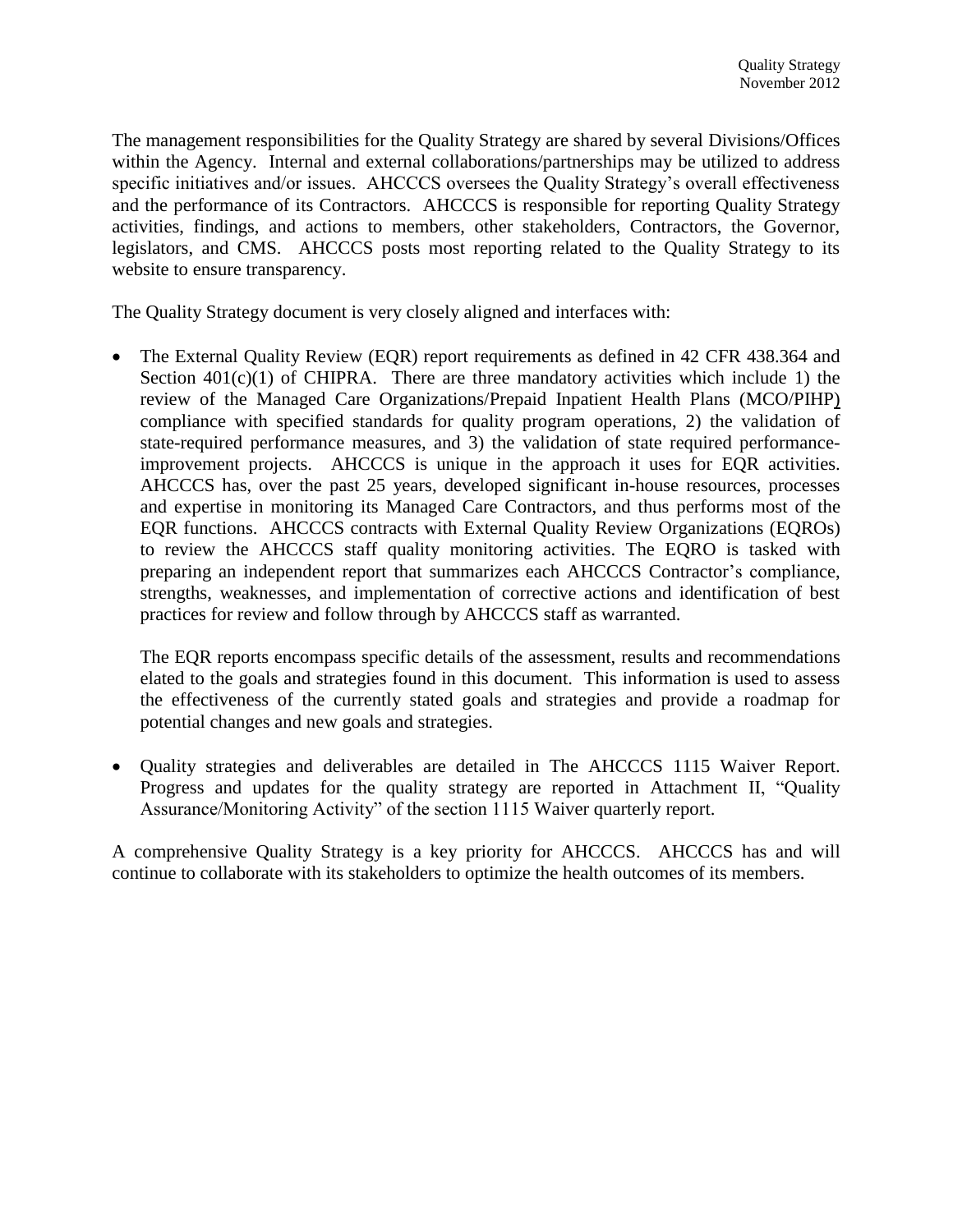The management responsibilities for the Quality Strategy are shared by several Divisions/Offices within the Agency. Internal and external collaborations/partnerships may be utilized to address specific initiatives and/or issues. AHCCCS oversees the Quality Strategy's overall effectiveness and the performance of its Contractors. AHCCCS is responsible for reporting Quality Strategy activities, findings, and actions to members, other stakeholders, Contractors, the Governor, legislators, and CMS. AHCCCS posts most reporting related to the Quality Strategy to its website to ensure transparency.

The Quality Strategy document is very closely aligned and interfaces with:

 The External Quality Review (EQR) report requirements as defined in 42 CFR 438.364 and Section  $401(c)(1)$  of CHIPRA. There are three mandatory activities which include 1) the review of the Managed Care Organizations/Prepaid Inpatient Health Plans (MCO/PIHP) compliance with specified standards for quality program operations, 2) the validation of state-required performance measures, and 3) the validation of state required performanceimprovement projects. AHCCCS is unique in the approach it uses for EQR activities. AHCCCS has, over the past 25 years, developed significant in-house resources, processes and expertise in monitoring its Managed Care Contractors, and thus performs most of the EQR functions. AHCCCS contracts with External Quality Review Organizations (EQROs) to review the AHCCCS staff quality monitoring activities. The EQRO is tasked with preparing an independent report that summarizes each AHCCCS Contractor's compliance, strengths, weaknesses, and implementation of corrective actions and identification of best practices for review and follow through by AHCCCS staff as warranted.

The EQR reports encompass specific details of the assessment, results and recommendations elated to the goals and strategies found in this document. This information is used to assess the effectiveness of the currently stated goals and strategies and provide a roadmap for potential changes and new goals and strategies.

 Quality strategies and deliverables are detailed in The AHCCCS 1115 Waiver Report. Progress and updates for the quality strategy are reported in Attachment II, "Quality Assurance/Monitoring Activity" of the section 1115 Waiver quarterly report.

A comprehensive Quality Strategy is a key priority for AHCCCS. AHCCCS has and will continue to collaborate with its stakeholders to optimize the health outcomes of its members.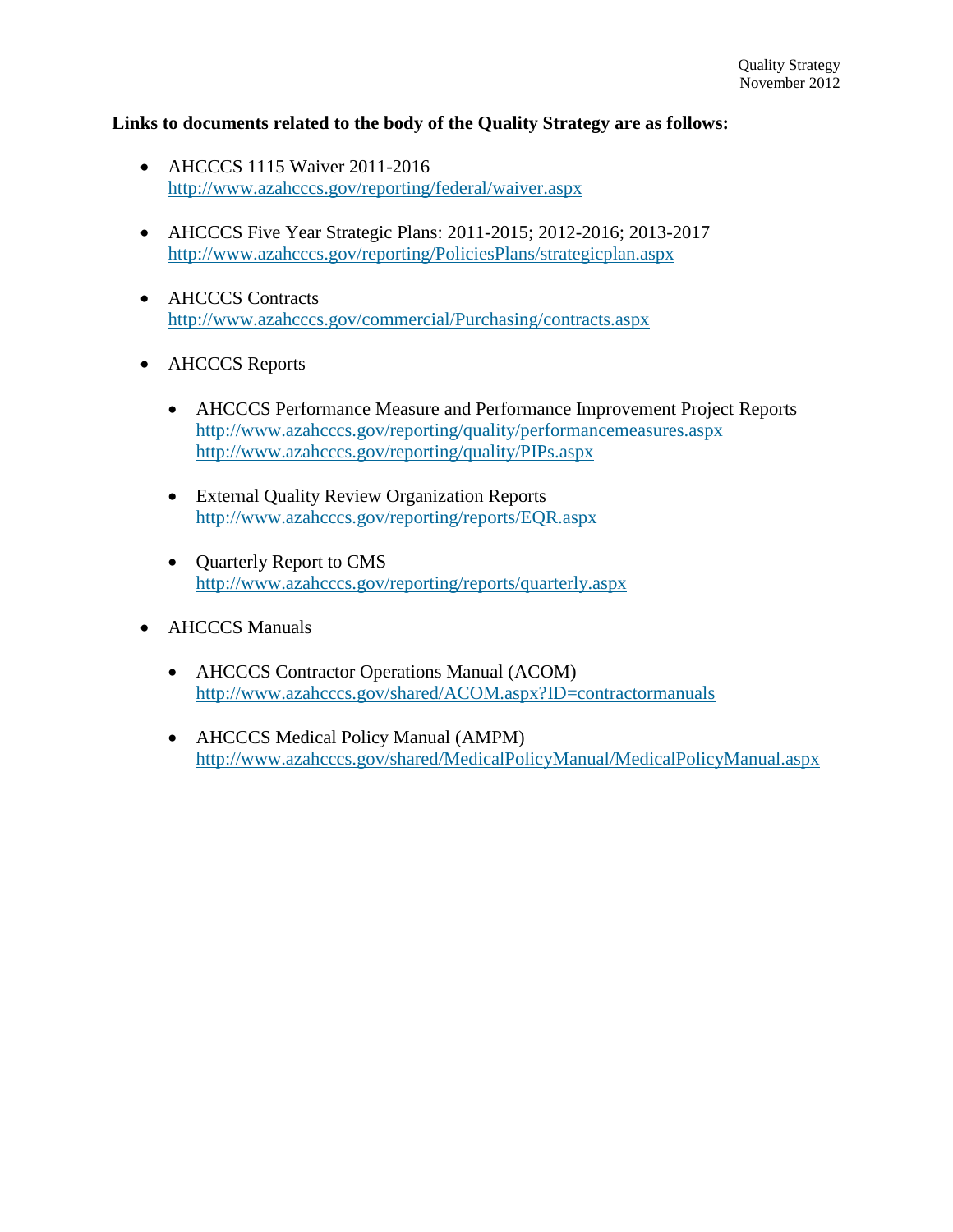#### **Links to documents related to the body of the Quality Strategy are as follows:**

- AHCCCS 1115 Waiver 2011-2016 <http://www.azahcccs.gov/reporting/federal/waiver.aspx>
- AHCCCS Five Year Strategic Plans: 2011-2015; 2012-2016; 2013-2017 <http://www.azahcccs.gov/reporting/PoliciesPlans/strategicplan.aspx>
- **AHCCCS** Contracts <http://www.azahcccs.gov/commercial/Purchasing/contracts.aspx>
- **AHCCCS** Reports
	- AHCCCS Performance Measure and Performance Improvement Project Reports <http://www.azahcccs.gov/reporting/quality/performancemeasures.aspx> <http://www.azahcccs.gov/reporting/quality/PIPs.aspx>
	- External Quality Review Organization Reports <http://www.azahcccs.gov/reporting/reports/EQR.aspx>
	- Quarterly Report to CMS http://www.azahcccs.gov/reporting/reports/quarterly.aspx
- AHCCCS Manuals
	- AHCCCS Contractor Operations Manual (ACOM) <http://www.azahcccs.gov/shared/ACOM.aspx?ID=contractormanuals>
	- AHCCCS Medical Policy Manual (AMPM) <http://www.azahcccs.gov/shared/MedicalPolicyManual/MedicalPolicyManual.aspx>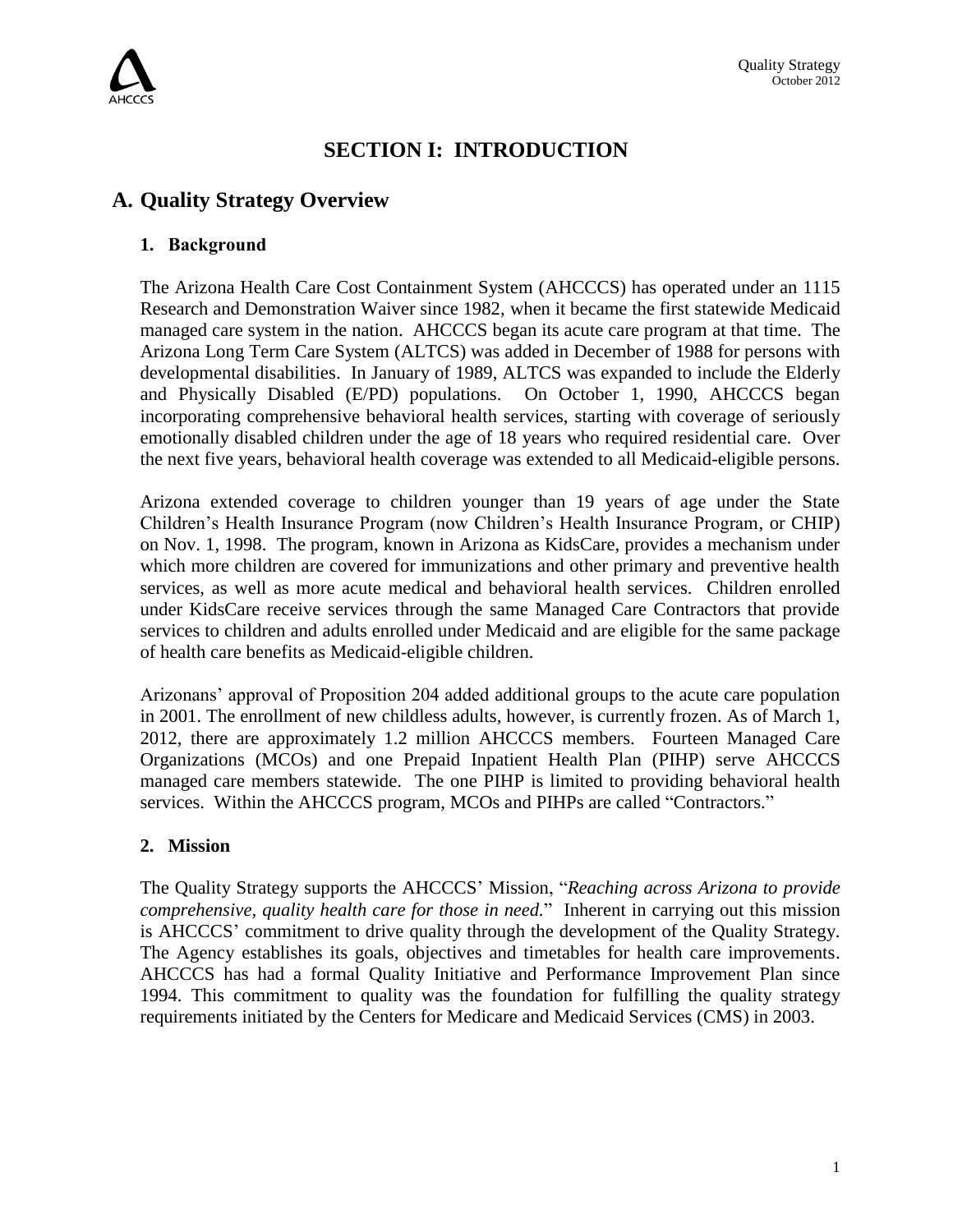

## **SECTION I: INTRODUCTION**

## **A. Quality Strategy Overview**

## **1. Background**

The Arizona Health Care Cost Containment System (AHCCCS) has operated under an 1115 Research and Demonstration Waiver since 1982, when it became the first statewide Medicaid managed care system in the nation. AHCCCS began its acute care program at that time. The Arizona Long Term Care System (ALTCS) was added in December of 1988 for persons with developmental disabilities. In January of 1989, ALTCS was expanded to include the Elderly and Physically Disabled (E/PD) populations. On October 1, 1990, AHCCCS began incorporating comprehensive behavioral health services, starting with coverage of seriously emotionally disabled children under the age of 18 years who required residential care. Over the next five years, behavioral health coverage was extended to all Medicaid-eligible persons.

Arizona extended coverage to children younger than 19 years of age under the State Children's Health Insurance Program (now Children's Health Insurance Program, or CHIP) on Nov. 1, 1998. The program, known in Arizona as KidsCare, provides a mechanism under which more children are covered for immunizations and other primary and preventive health services, as well as more acute medical and behavioral health services. Children enrolled under KidsCare receive services through the same Managed Care Contractors that provide services to children and adults enrolled under Medicaid and are eligible for the same package of health care benefits as Medicaid-eligible children.

Arizonans' approval of Proposition 204 added additional groups to the acute care population in 2001. The enrollment of new childless adults, however, is currently frozen. As of March 1, 2012, there are approximately 1.2 million AHCCCS members. Fourteen Managed Care Organizations (MCOs) and one Prepaid Inpatient Health Plan (PIHP) serve AHCCCS managed care members statewide. The one PIHP is limited to providing behavioral health services. Within the AHCCCS program, MCOs and PIHPs are called "Contractors."

#### **2. Mission**

The Quality Strategy supports the AHCCCS' Mission, "*Reaching across Arizona to provide comprehensive, quality health care for those in need.*" Inherent in carrying out this mission is AHCCCS' commitment to drive quality through the development of the Quality Strategy. The Agency establishes its goals, objectives and timetables for health care improvements. AHCCCS has had a formal Quality Initiative and Performance Improvement Plan since 1994. This commitment to quality was the foundation for fulfilling the quality strategy requirements initiated by the Centers for Medicare and Medicaid Services (CMS) in 2003.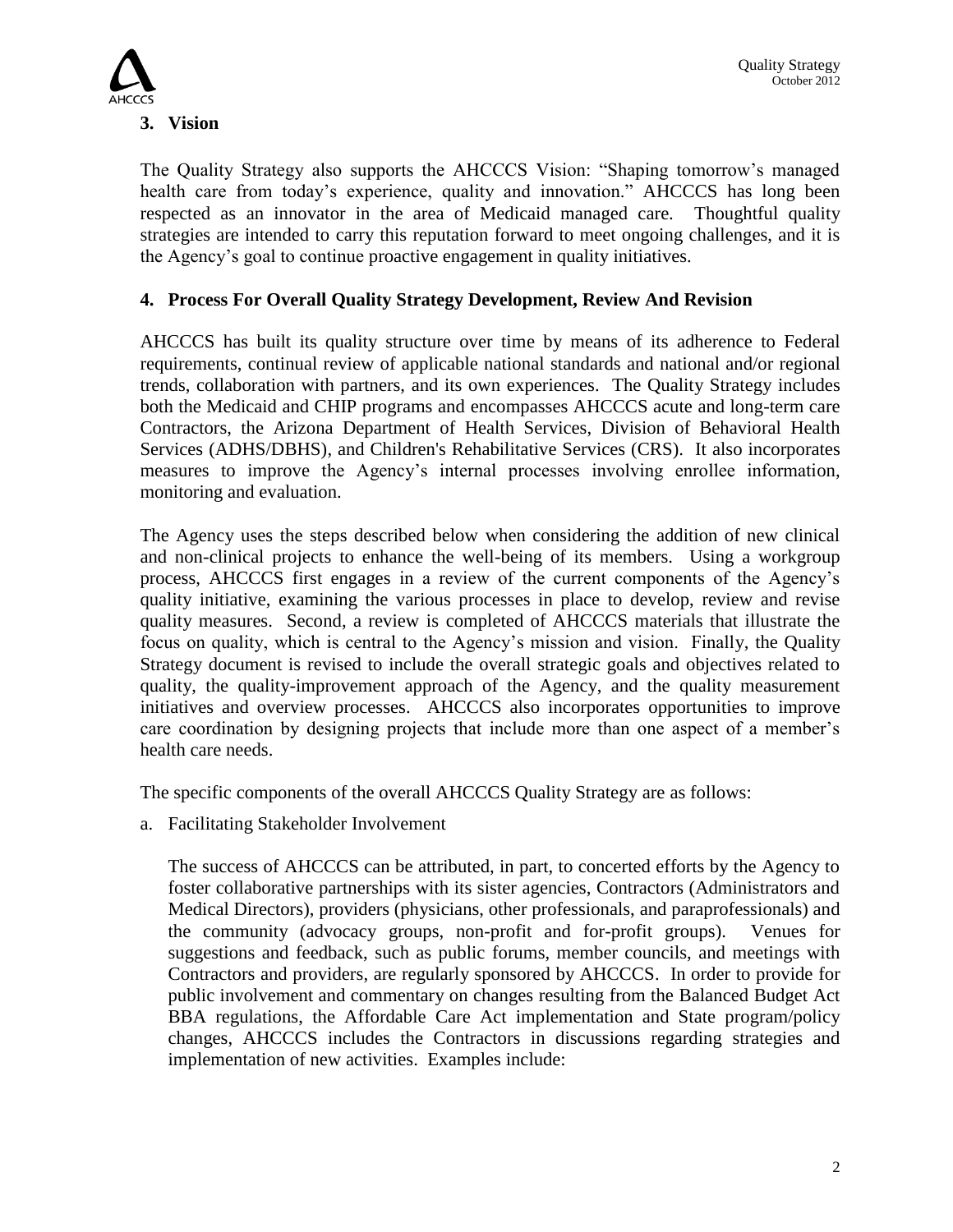

The Quality Strategy also supports the AHCCCS Vision: "Shaping tomorrow's managed health care from today's experience, quality and innovation." AHCCCS has long been respected as an innovator in the area of Medicaid managed care. Thoughtful quality strategies are intended to carry this reputation forward to meet ongoing challenges, and it is the Agency's goal to continue proactive engagement in quality initiatives.

## **4. Process For Overall Quality Strategy Development, Review And Revision**

AHCCCS has built its quality structure over time by means of its adherence to Federal requirements, continual review of applicable national standards and national and/or regional trends, collaboration with partners, and its own experiences. The Quality Strategy includes both the Medicaid and CHIP programs and encompasses AHCCCS acute and long-term care Contractors, the Arizona Department of Health Services, Division of Behavioral Health Services (ADHS/DBHS), and Children's Rehabilitative Services (CRS). It also incorporates measures to improve the Agency's internal processes involving enrollee information, monitoring and evaluation.

The Agency uses the steps described below when considering the addition of new clinical and non-clinical projects to enhance the well-being of its members. Using a workgroup process, AHCCCS first engages in a review of the current components of the Agency's quality initiative, examining the various processes in place to develop, review and revise quality measures. Second, a review is completed of AHCCCS materials that illustrate the focus on quality, which is central to the Agency's mission and vision. Finally, the Quality Strategy document is revised to include the overall strategic goals and objectives related to quality, the quality-improvement approach of the Agency, and the quality measurement initiatives and overview processes. AHCCCS also incorporates opportunities to improve care coordination by designing projects that include more than one aspect of a member's health care needs.

The specific components of the overall AHCCCS Quality Strategy are as follows:

a. Facilitating Stakeholder Involvement

The success of AHCCCS can be attributed, in part, to concerted efforts by the Agency to foster collaborative partnerships with its sister agencies, Contractors (Administrators and Medical Directors), providers (physicians, other professionals, and paraprofessionals) and the community (advocacy groups, non-profit and for-profit groups). Venues for suggestions and feedback, such as public forums, member councils, and meetings with Contractors and providers, are regularly sponsored by AHCCCS. In order to provide for public involvement and commentary on changes resulting from the Balanced Budget Act BBA regulations, the Affordable Care Act implementation and State program/policy changes, AHCCCS includes the Contractors in discussions regarding strategies and implementation of new activities. Examples include: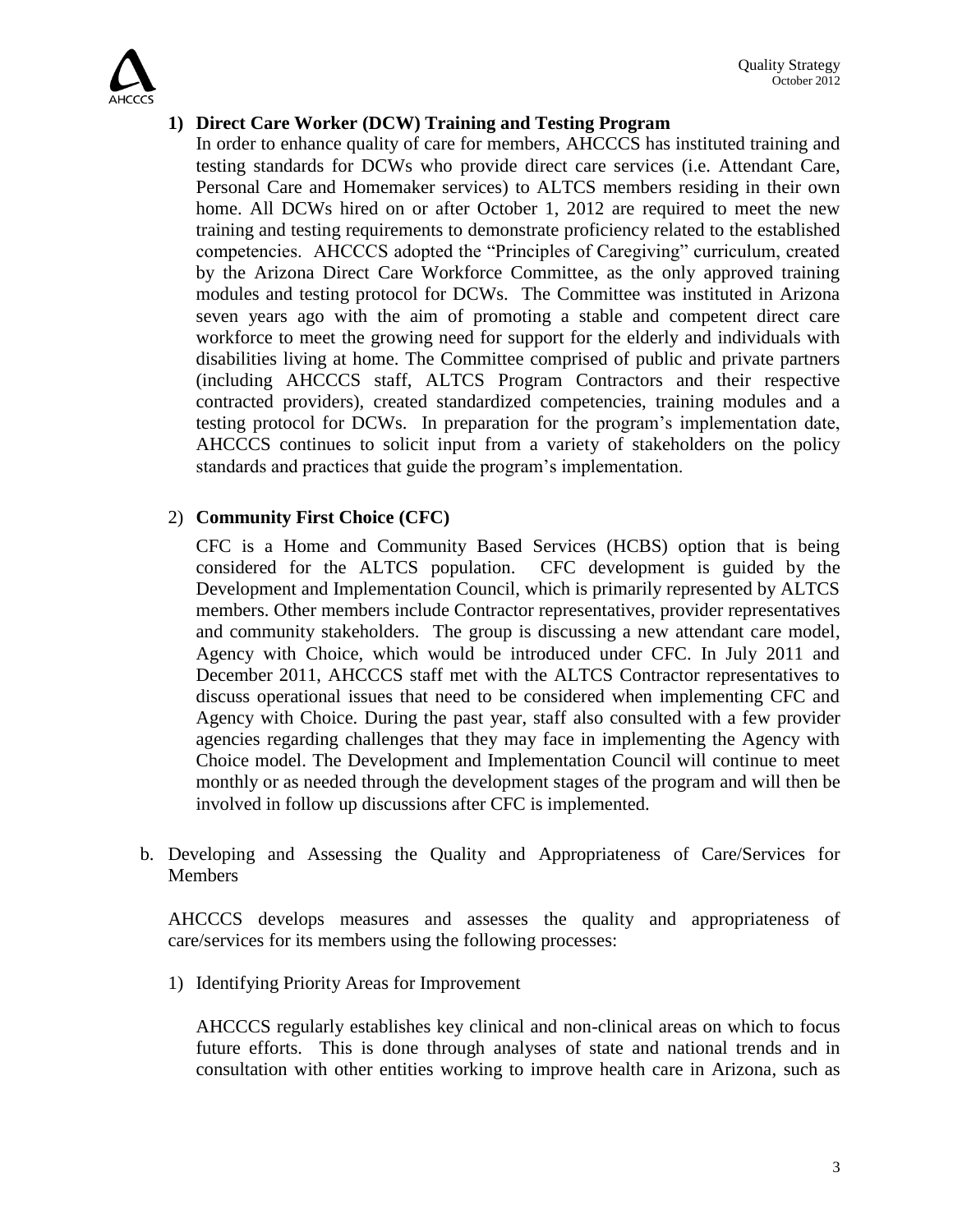

## **1) Direct Care Worker (DCW) Training and Testing Program**

In order to enhance quality of care for members, AHCCCS has instituted training and testing standards for DCWs who provide direct care services (i.e. Attendant Care, Personal Care and Homemaker services) to ALTCS members residing in their own home. All DCWs hired on or after October 1, 2012 are required to meet the new training and testing requirements to demonstrate proficiency related to the established competencies. AHCCCS adopted the "Principles of Caregiving" curriculum, created by the Arizona Direct Care Workforce Committee, as the only approved training modules and testing protocol for DCWs. The Committee was instituted in Arizona seven years ago with the aim of promoting a stable and competent direct care workforce to meet the growing need for support for the elderly and individuals with disabilities living at home. The Committee comprised of public and private partners (including AHCCCS staff, ALTCS Program Contractors and their respective contracted providers), created standardized competencies, training modules and a testing protocol for DCWs. In preparation for the program's implementation date, AHCCCS continues to solicit input from a variety of stakeholders on the policy standards and practices that guide the program's implementation.

## 2) **Community First Choice (CFC)**

CFC is a Home and Community Based Services (HCBS) option that is being considered for the ALTCS population. CFC development is guided by the Development and Implementation Council, which is primarily represented by ALTCS members. Other members include Contractor representatives, provider representatives and community stakeholders. The group is discussing a new attendant care model, Agency with Choice, which would be introduced under CFC. In July 2011 and December 2011, AHCCCS staff met with the ALTCS Contractor representatives to discuss operational issues that need to be considered when implementing CFC and Agency with Choice. During the past year, staff also consulted with a few provider agencies regarding challenges that they may face in implementing the Agency with Choice model. The Development and Implementation Council will continue to meet monthly or as needed through the development stages of the program and will then be involved in follow up discussions after CFC is implemented.

b. Developing and Assessing the Quality and Appropriateness of Care/Services for **Members** 

AHCCCS develops measures and assesses the quality and appropriateness of care/services for its members using the following processes:

1) Identifying Priority Areas for Improvement

AHCCCS regularly establishes key clinical and non-clinical areas on which to focus future efforts. This is done through analyses of state and national trends and in consultation with other entities working to improve health care in Arizona, such as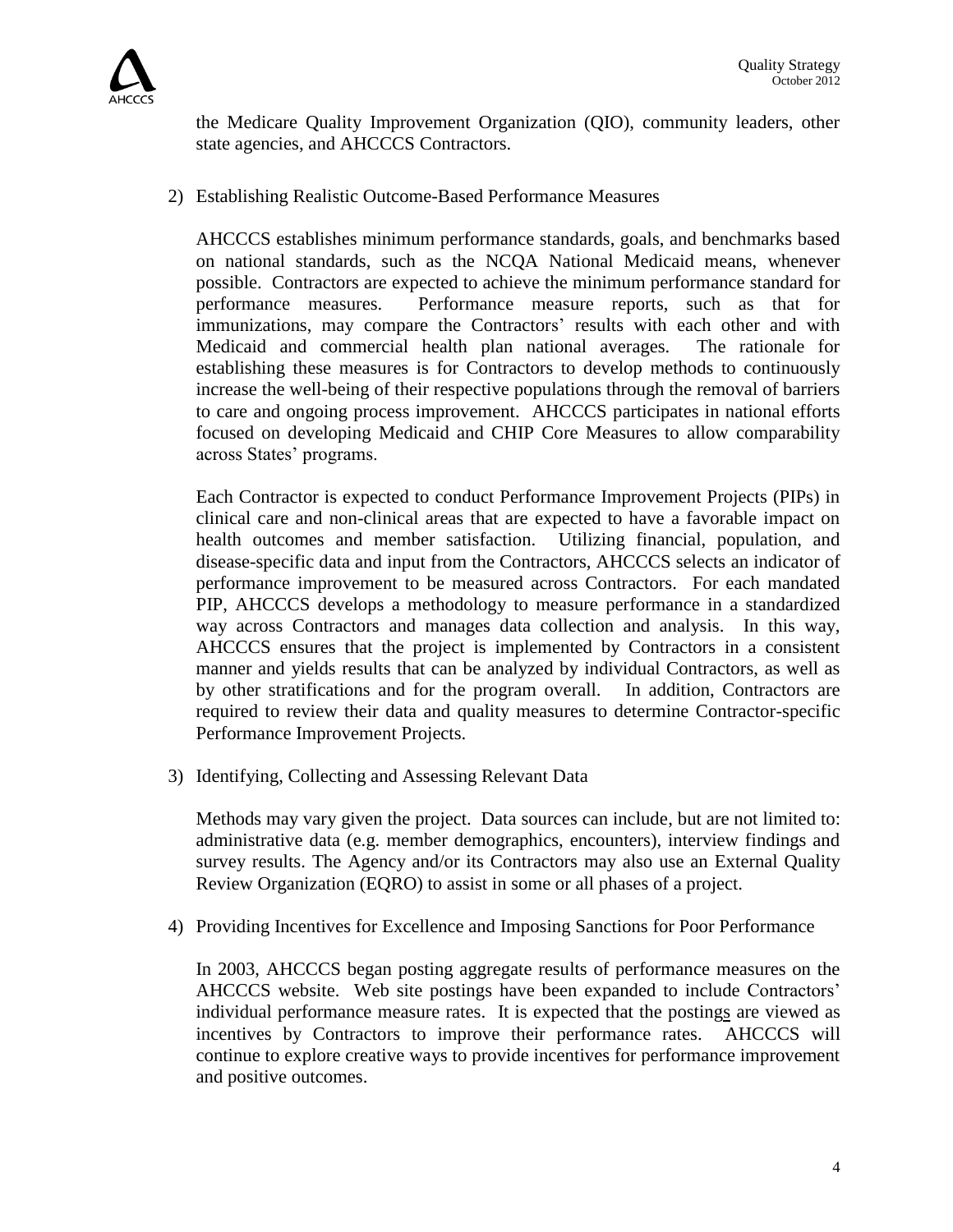

the Medicare Quality Improvement Organization (QIO), community leaders, other state agencies, and AHCCCS Contractors.

2) Establishing Realistic Outcome-Based Performance Measures

AHCCCS establishes minimum performance standards, goals, and benchmarks based on national standards, such as the NCQA National Medicaid means, whenever possible. Contractors are expected to achieve the minimum performance standard for performance measures. Performance measure reports, such as that for immunizations, may compare the Contractors' results with each other and with Medicaid and commercial health plan national averages. The rationale for establishing these measures is for Contractors to develop methods to continuously increase the well-being of their respective populations through the removal of barriers to care and ongoing process improvement. AHCCCS participates in national efforts focused on developing Medicaid and CHIP Core Measures to allow comparability across States' programs.

Each Contractor is expected to conduct Performance Improvement Projects (PIPs) in clinical care and non-clinical areas that are expected to have a favorable impact on health outcomes and member satisfaction. Utilizing financial, population, and disease-specific data and input from the Contractors, AHCCCS selects an indicator of performance improvement to be measured across Contractors. For each mandated PIP, AHCCCS develops a methodology to measure performance in a standardized way across Contractors and manages data collection and analysis. In this way, AHCCCS ensures that the project is implemented by Contractors in a consistent manner and yields results that can be analyzed by individual Contractors, as well as by other stratifications and for the program overall. In addition, Contractors are required to review their data and quality measures to determine Contractor-specific Performance Improvement Projects.

3) Identifying, Collecting and Assessing Relevant Data

Methods may vary given the project. Data sources can include, but are not limited to: administrative data (e.g. member demographics, encounters), interview findings and survey results. The Agency and/or its Contractors may also use an External Quality Review Organization (EQRO) to assist in some or all phases of a project.

4) Providing Incentives for Excellence and Imposing Sanctions for Poor Performance

In 2003, AHCCCS began posting aggregate results of performance measures on the AHCCCS website. Web site postings have been expanded to include Contractors' individual performance measure rates. It is expected that the postings are viewed as incentives by Contractors to improve their performance rates. AHCCCS will continue to explore creative ways to provide incentives for performance improvement and positive outcomes.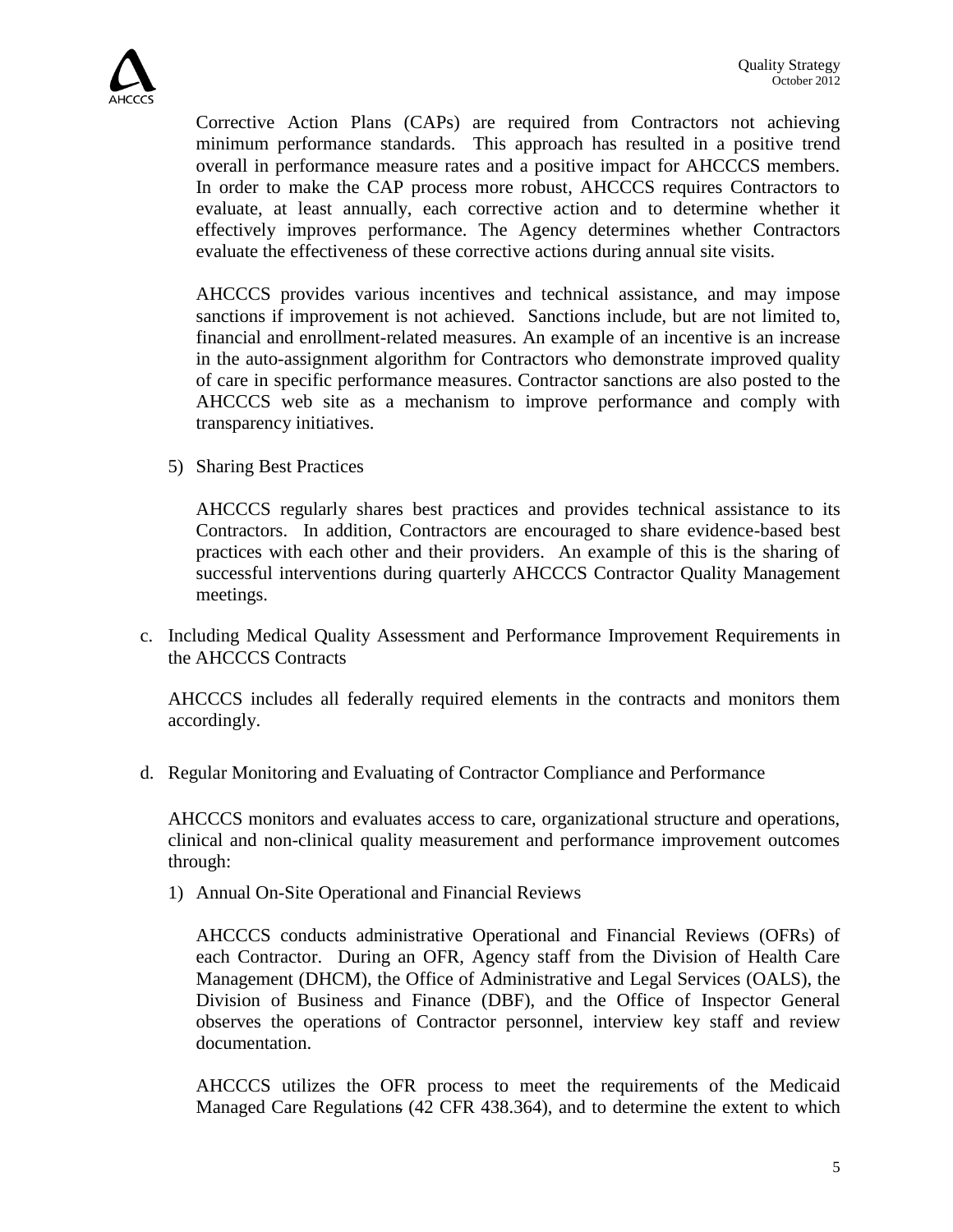Corrective Action Plans (CAPs) are required from Contractors not achieving minimum performance standards. This approach has resulted in a positive trend overall in performance measure rates and a positive impact for AHCCCS members. In order to make the CAP process more robust, AHCCCS requires Contractors to evaluate, at least annually, each corrective action and to determine whether it effectively improves performance. The Agency determines whether Contractors evaluate the effectiveness of these corrective actions during annual site visits.

AHCCCS provides various incentives and technical assistance, and may impose sanctions if improvement is not achieved. Sanctions include, but are not limited to, financial and enrollment-related measures. An example of an incentive is an increase in the auto-assignment algorithm for Contractors who demonstrate improved quality of care in specific performance measures. Contractor sanctions are also posted to the AHCCCS web site as a mechanism to improve performance and comply with transparency initiatives.

5) Sharing Best Practices

AHCCCS regularly shares best practices and provides technical assistance to its Contractors. In addition, Contractors are encouraged to share evidence-based best practices with each other and their providers. An example of this is the sharing of successful interventions during quarterly AHCCCS Contractor Quality Management meetings.

c. Including Medical Quality Assessment and Performance Improvement Requirements in the AHCCCS Contracts

AHCCCS includes all federally required elements in the contracts and monitors them accordingly.

d. Regular Monitoring and Evaluating of Contractor Compliance and Performance

AHCCCS monitors and evaluates access to care, organizational structure and operations, clinical and non-clinical quality measurement and performance improvement outcomes through:

1) Annual On-Site Operational and Financial Reviews

AHCCCS conducts administrative Operational and Financial Reviews (OFRs) of each Contractor. During an OFR, Agency staff from the Division of Health Care Management (DHCM), the Office of Administrative and Legal Services (OALS), the Division of Business and Finance (DBF), and the Office of Inspector General observes the operations of Contractor personnel, interview key staff and review documentation.

AHCCCS utilizes the OFR process to meet the requirements of the Medicaid Managed Care Regulations (42 CFR 438.364), and to determine the extent to which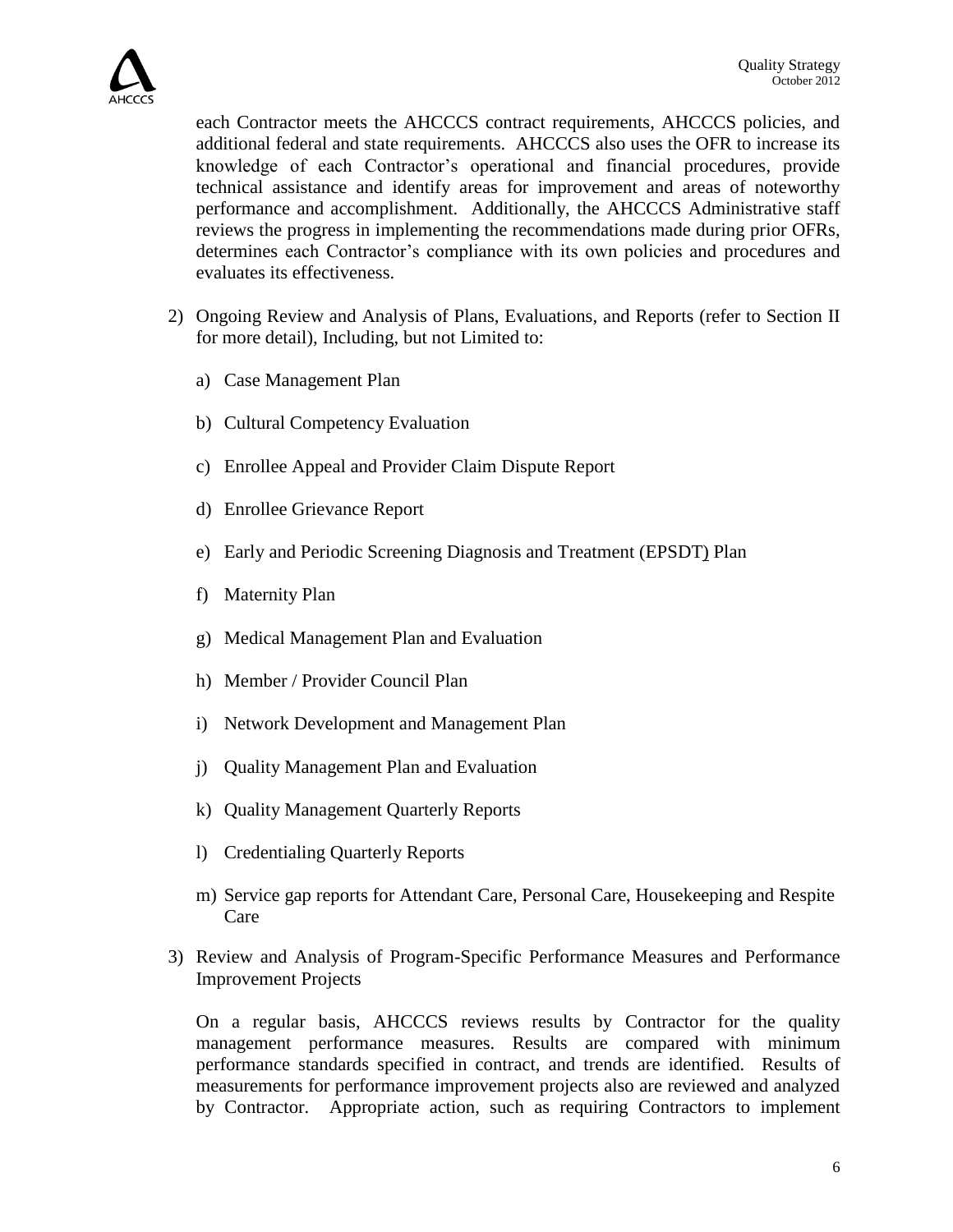

each Contractor meets the AHCCCS contract requirements, AHCCCS policies, and additional federal and state requirements. AHCCCS also uses the OFR to increase its knowledge of each Contractor's operational and financial procedures, provide technical assistance and identify areas for improvement and areas of noteworthy performance and accomplishment. Additionally, the AHCCCS Administrative staff reviews the progress in implementing the recommendations made during prior OFRs, determines each Contractor's compliance with its own policies and procedures and evaluates its effectiveness.

- 2) Ongoing Review and Analysis of Plans, Evaluations, and Reports (refer to Section II for more detail), Including, but not Limited to:
	- a) Case Management Plan
	- b) Cultural Competency Evaluation
	- c) Enrollee Appeal and Provider Claim Dispute Report
	- d) Enrollee Grievance Report
	- e) Early and Periodic Screening Diagnosis and Treatment (EPSDT) Plan
	- f) Maternity Plan
	- g) Medical Management Plan and Evaluation
	- h) Member / Provider Council Plan
	- i) Network Development and Management Plan
	- j) Quality Management Plan and Evaluation
	- k) Quality Management Quarterly Reports
	- l) Credentialing Quarterly Reports
	- m) Service gap reports for Attendant Care, Personal Care, Housekeeping and Respite Care
- 3) Review and Analysis of Program-Specific Performance Measures and Performance Improvement Projects

On a regular basis, AHCCCS reviews results by Contractor for the quality management performance measures. Results are compared with minimum performance standards specified in contract, and trends are identified. Results of measurements for performance improvement projects also are reviewed and analyzed by Contractor. Appropriate action, such as requiring Contractors to implement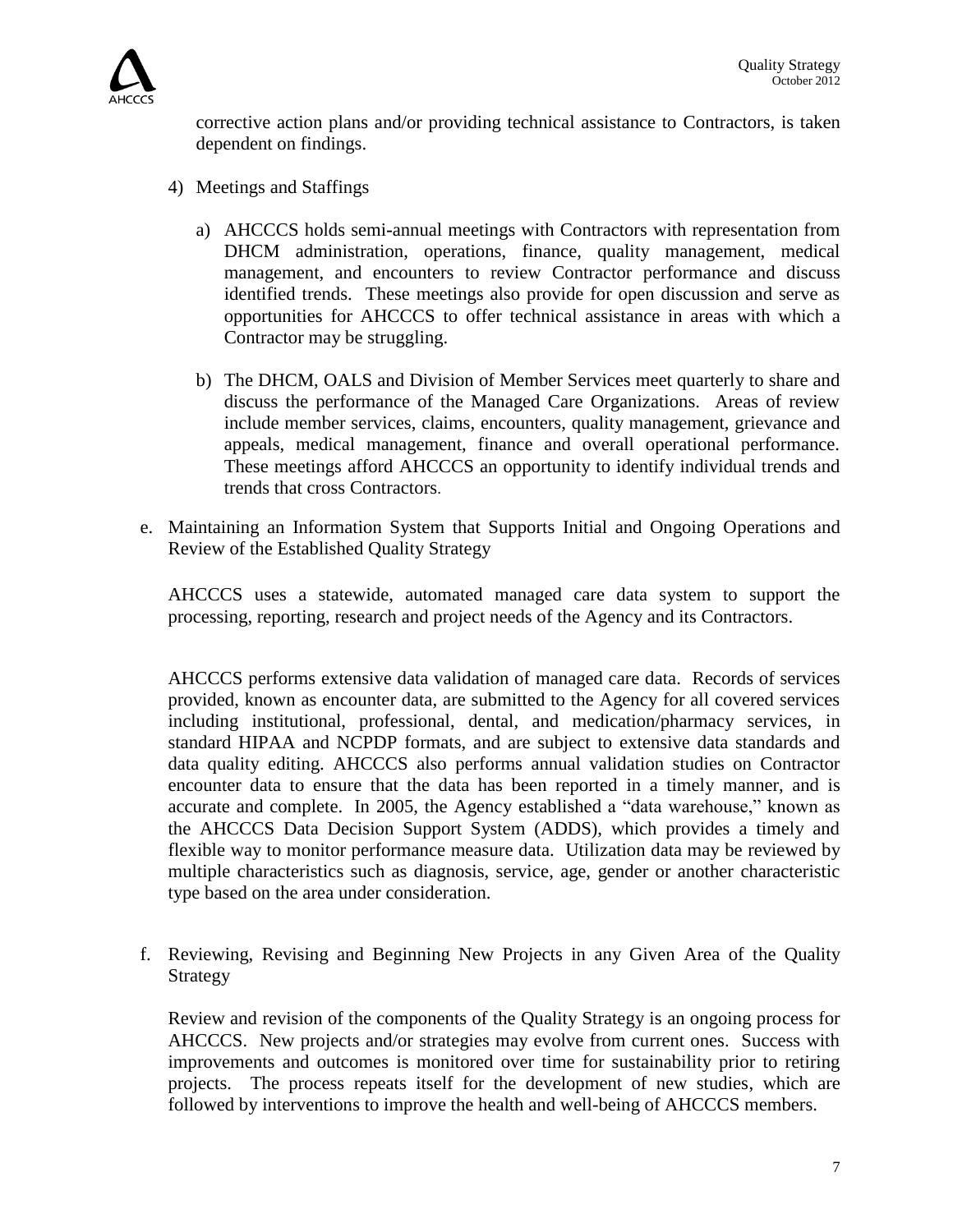

corrective action plans and/or providing technical assistance to Contractors, is taken dependent on findings.

- 4) Meetings and Staffings
	- a) AHCCCS holds semi**-**annual meetings with Contractors with representation from DHCM administration, operations, finance, quality management, medical management, and encounters to review Contractor performance and discuss identified trends. These meetings also provide for open discussion and serve as opportunities for AHCCCS to offer technical assistance in areas with which a Contractor may be struggling.
	- b) The DHCM, OALS and Division of Member Services meet quarterly to share and discuss the performance of the Managed Care Organizations. Areas of review include member services, claims, encounters, quality management, grievance and appeals, medical management, finance and overall operational performance. These meetings afford AHCCCS an opportunity to identify individual trends and trends that cross Contractors.
- e. Maintaining an Information System that Supports Initial and Ongoing Operations and Review of the Established Quality Strategy

AHCCCS uses a statewide, automated managed care data system to support the processing, reporting, research and project needs of the Agency and its Contractors.

AHCCCS performs extensive data validation of managed care data. Records of services provided, known as encounter data, are submitted to the Agency for all covered services including institutional, professional, dental, and medication/pharmacy services, in standard HIPAA and NCPDP formats, and are subject to extensive data standards and data quality editing. AHCCCS also performs annual validation studies on Contractor encounter data to ensure that the data has been reported in a timely manner, and is accurate and complete. In 2005, the Agency established a "data warehouse," known as the AHCCCS Data Decision Support System (ADDS), which provides a timely and flexible way to monitor performance measure data. Utilization data may be reviewed by multiple characteristics such as diagnosis, service, age, gender or another characteristic type based on the area under consideration.

f. Reviewing, Revising and Beginning New Projects in any Given Area of the Quality Strategy

Review and revision of the components of the Quality Strategy is an ongoing process for AHCCCS. New projects and/or strategies may evolve from current ones. Success with improvements and outcomes is monitored over time for sustainability prior to retiring projects. The process repeats itself for the development of new studies, which are followed by interventions to improve the health and well-being of AHCCCS members.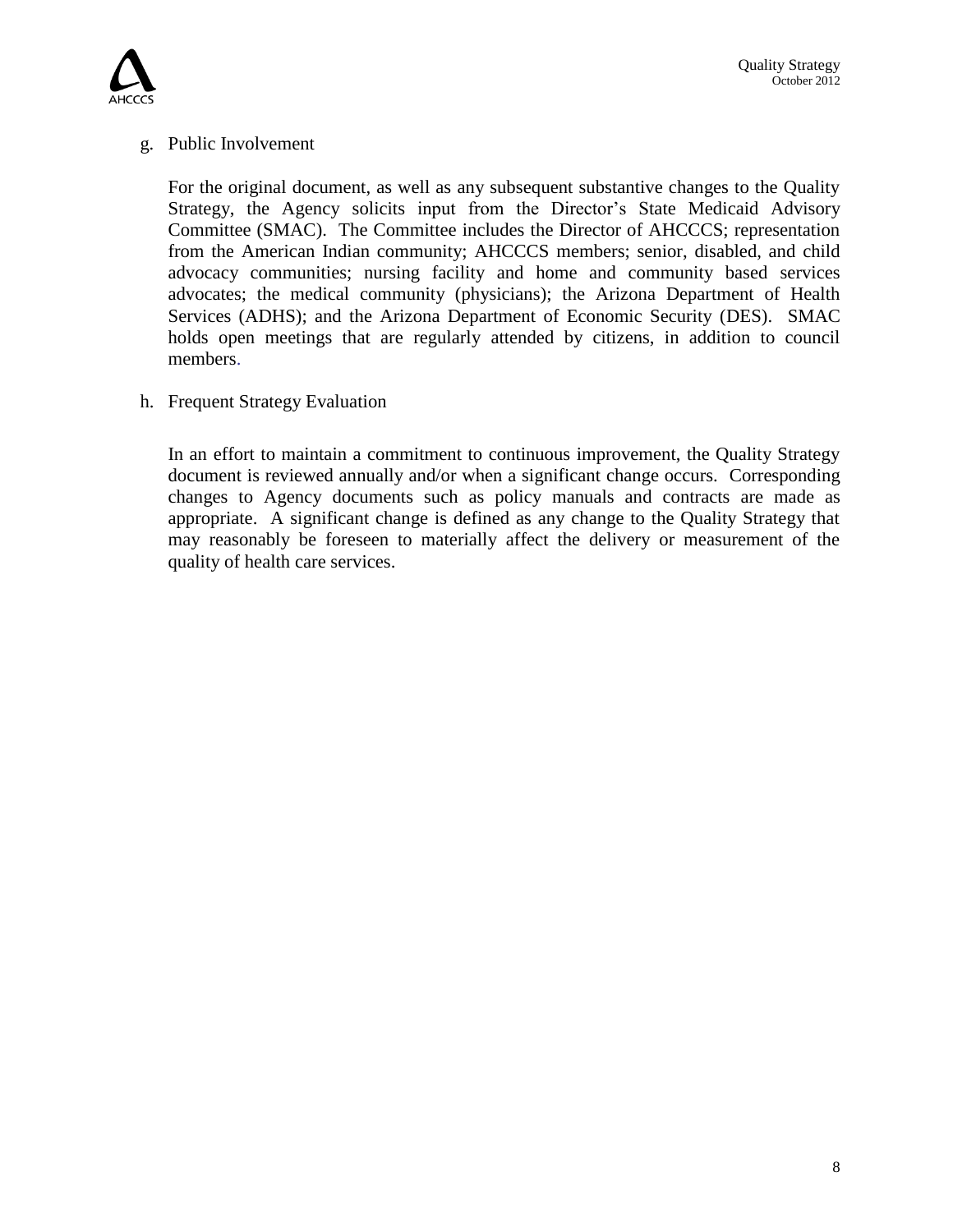

#### g. Public Involvement

For the original document, as well as any subsequent substantive changes to the Quality Strategy, the Agency solicits input from the Director's State Medicaid Advisory Committee (SMAC). The Committee includes the Director of AHCCCS; representation from the American Indian community; AHCCCS members; senior, disabled, and child advocacy communities; nursing facility and home and community based services advocates; the medical community (physicians); the Arizona Department of Health Services (ADHS); and the Arizona Department of Economic Security (DES). SMAC holds open meetings that are regularly attended by citizens, in addition to council members.

h. Frequent Strategy Evaluation

In an effort to maintain a commitment to continuous improvement, the Quality Strategy document is reviewed annually and/or when a significant change occurs. Corresponding changes to Agency documents such as policy manuals and contracts are made as appropriate. A significant change is defined as any change to the Quality Strategy that may reasonably be foreseen to materially affect the delivery or measurement of the quality of health care services.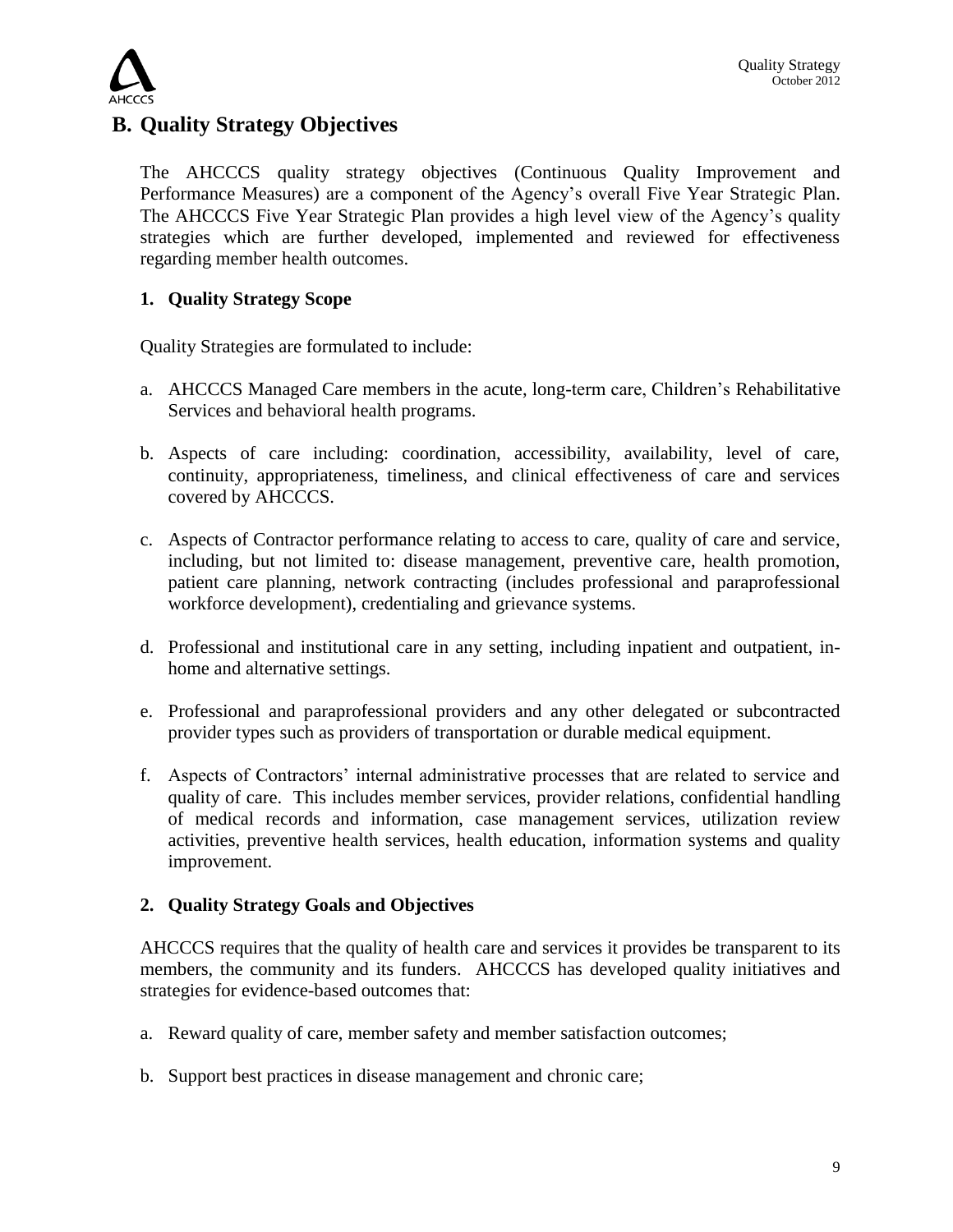

## **B. Quality Strategy Objectives**

The AHCCCS quality strategy objectives (Continuous Quality Improvement and Performance Measures) are a component of the Agency's overall Five Year Strategic Plan. The AHCCCS Five Year Strategic Plan provides a high level view of the Agency's quality strategies which are further developed, implemented and reviewed for effectiveness regarding member health outcomes.

## **1. Quality Strategy Scope**

Quality Strategies are formulated to include:

- a. AHCCCS Managed Care members in the acute, long-term care, Children's Rehabilitative Services and behavioral health programs.
- b. Aspects of care including: coordination, accessibility, availability, level of care, continuity, appropriateness, timeliness, and clinical effectiveness of care and services covered by AHCCCS.
- c. Aspects of Contractor performance relating to access to care, quality of care and service, including, but not limited to: disease management, preventive care, health promotion, patient care planning, network contracting (includes professional and paraprofessional workforce development), credentialing and grievance systems.
- d. Professional and institutional care in any setting, including inpatient and outpatient, inhome and alternative settings.
- e. Professional and paraprofessional providers and any other delegated or subcontracted provider types such as providers of transportation or durable medical equipment.
- f. Aspects of Contractors' internal administrative processes that are related to service and quality of care. This includes member services, provider relations, confidential handling of medical records and information, case management services, utilization review activities, preventive health services, health education, information systems and quality improvement.

#### **2. Quality Strategy Goals and Objectives**

AHCCCS requires that the quality of health care and services it provides be transparent to its members, the community and its funders. AHCCCS has developed quality initiatives and strategies for evidence-based outcomes that:

- a. Reward quality of care, member safety and member satisfaction outcomes;
- b. Support best practices in disease management and chronic care;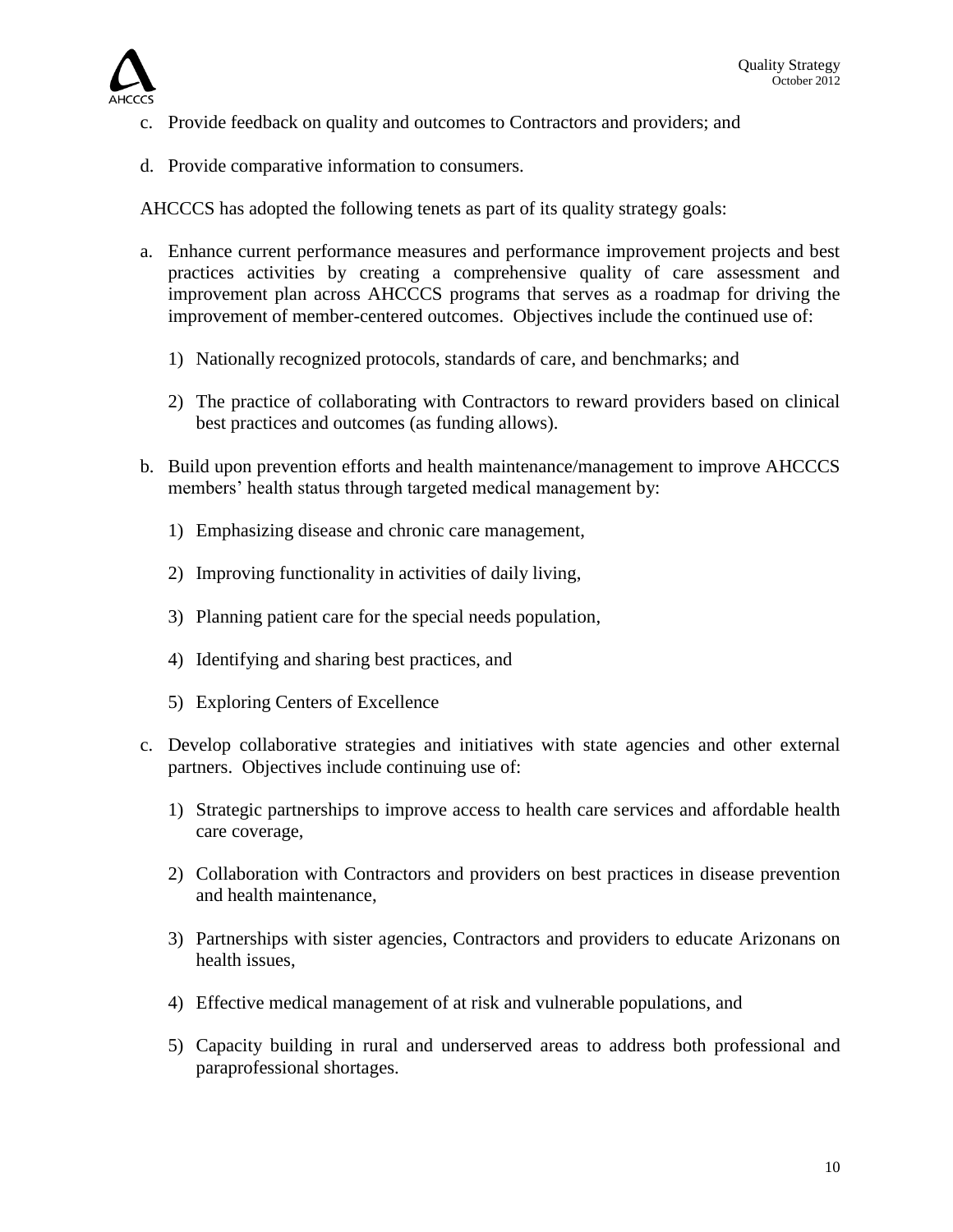

- c. Provide feedback on quality and outcomes to Contractors and providers; and
- d. Provide comparative information to consumers.

AHCCCS has adopted the following tenets as part of its quality strategy goals:

- a. Enhance current performance measures and performance improvement projects and best practices activities by creating a comprehensive quality of care assessment and improvement plan across AHCCCS programs that serves as a roadmap for driving the improvement of member-centered outcomes. Objectives include the continued use of:
	- 1) Nationally recognized protocols, standards of care, and benchmarks; and
	- 2) The practice of collaborating with Contractors to reward providers based on clinical best practices and outcomes (as funding allows).
- b. Build upon prevention efforts and health maintenance/management to improve AHCCCS members' health status through targeted medical management by:
	- 1) Emphasizing disease and chronic care management,
	- 2) Improving functionality in activities of daily living,
	- 3) Planning patient care for the special needs population,
	- 4) Identifying and sharing best practices, and
	- 5) Exploring Centers of Excellence
- c. Develop collaborative strategies and initiatives with state agencies and other external partners. Objectives include continuing use of:
	- 1) Strategic partnerships to improve access to health care services and affordable health care coverage,
	- 2) Collaboration with Contractors and providers on best practices in disease prevention and health maintenance,
	- 3) Partnerships with sister agencies, Contractors and providers to educate Arizonans on health issues,
	- 4) Effective medical management of at risk and vulnerable populations, and
	- 5) Capacity building in rural and underserved areas to address both professional and paraprofessional shortages.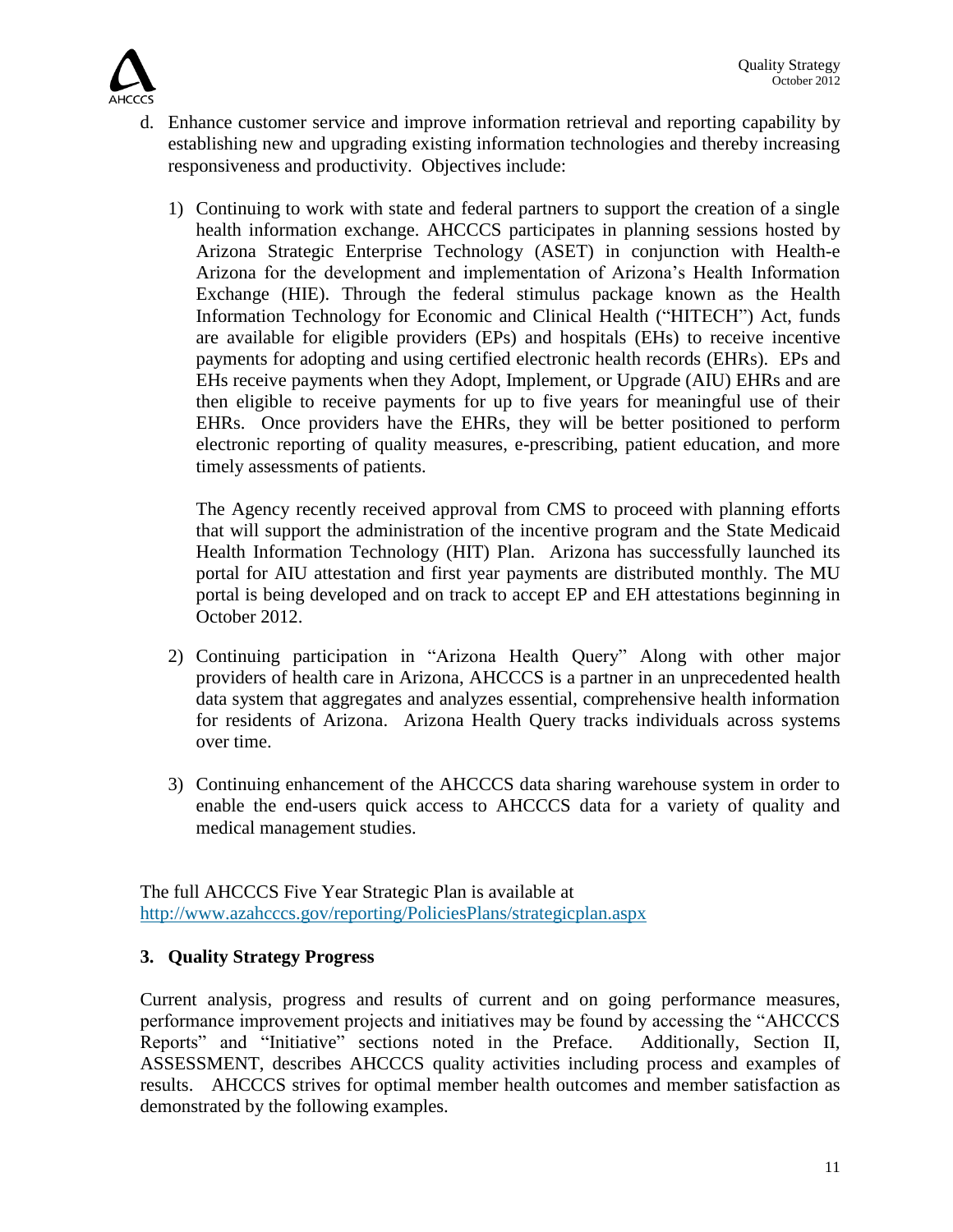

- d. Enhance customer service and improve information retrieval and reporting capability by establishing new and upgrading existing information technologies and thereby increasing responsiveness and productivity. Objectives include:
	- 1) Continuing to work with state and federal partners to support the creation of a single health information exchange. AHCCCS participates in planning sessions hosted by Arizona Strategic Enterprise Technology (ASET) in conjunction with Health-e Arizona for the development and implementation of Arizona's Health Information Exchange (HIE). Through the federal stimulus package known as the Health Information Technology for Economic and Clinical Health ("HITECH") Act, funds are available for eligible providers (EPs) and hospitals (EHs) to receive incentive payments for adopting and using certified electronic health records (EHRs). EPs and EHs receive payments when they Adopt, Implement, or Upgrade (AIU) EHRs and are then eligible to receive payments for up to five years for meaningful use of their EHRs. Once providers have the EHRs, they will be better positioned to perform electronic reporting of quality measures, e-prescribing, patient education, and more timely assessments of patients.

The Agency recently received approval from CMS to proceed with planning efforts that will support the administration of the incentive program and the State Medicaid Health Information Technology (HIT) Plan. Arizona has successfully launched its portal for AIU attestation and first year payments are distributed monthly. The MU portal is being developed and on track to accept EP and EH attestations beginning in October 2012.

- 2) Continuing participation in "Arizona Health Query" Along with other major providers of health care in Arizona, AHCCCS is a partner in an unprecedented health data system that aggregates and analyzes essential, comprehensive health information for residents of Arizona. Arizona Health Query tracks individuals across systems over time.
- 3) Continuing enhancement of the AHCCCS data sharing warehouse system in order to enable the end-users quick access to AHCCCS data for a variety of quality and medical management studies.

The full AHCCCS Five Year Strategic Plan is available at <http://www.azahcccs.gov/reporting/PoliciesPlans/strategicplan.aspx>

## **3. Quality Strategy Progress**

Current analysis, progress and results of current and on going performance measures, performance improvement projects and initiatives may be found by accessing the "AHCCCS Reports" and "Initiative" sections noted in the Preface. Additionally, Section II, ASSESSMENT, describes AHCCCS quality activities including process and examples of results. AHCCCS strives for optimal member health outcomes and member satisfaction as demonstrated by the following examples.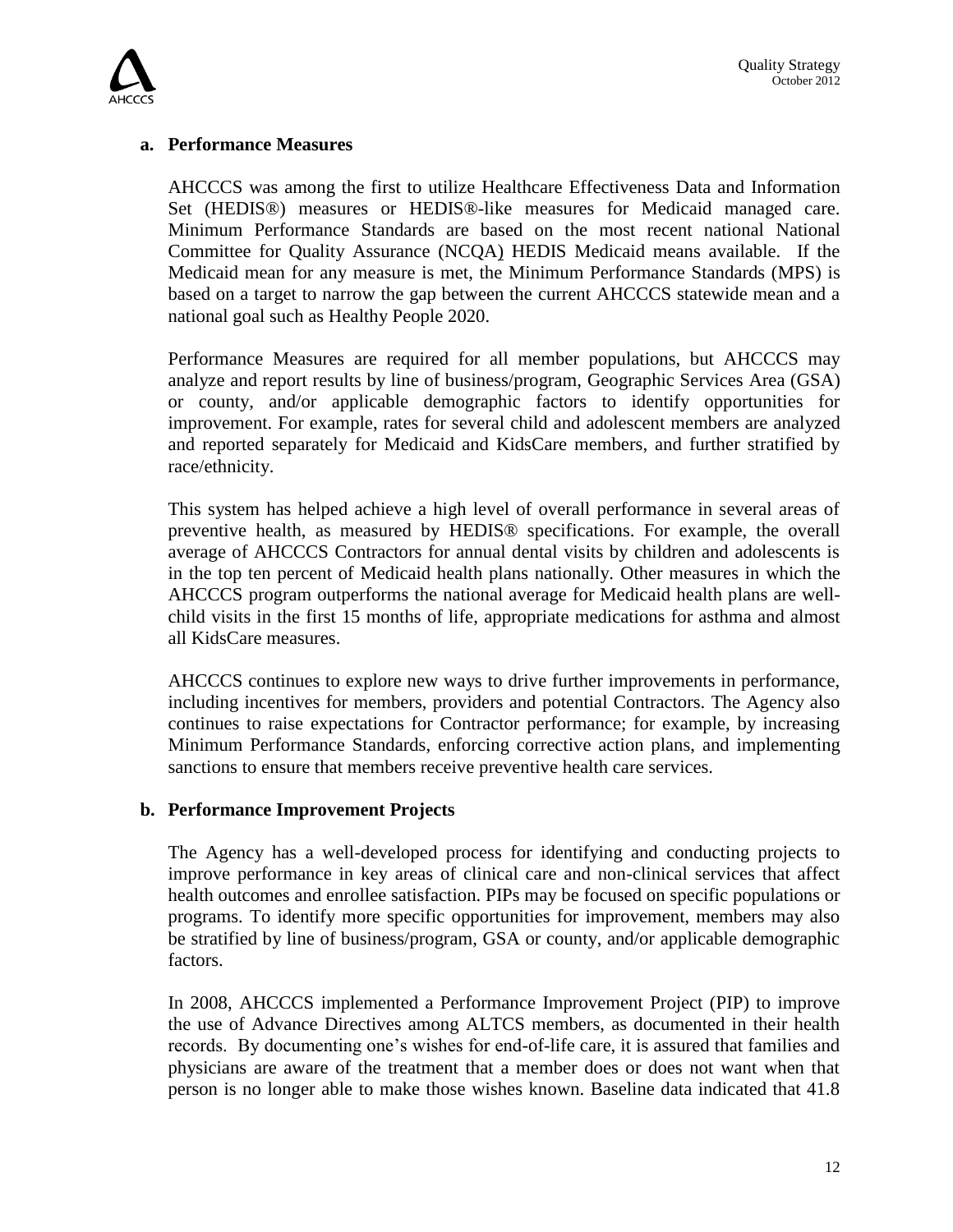

#### **a. Performance Measures**

AHCCCS was among the first to utilize Healthcare Effectiveness Data and Information Set (HEDIS®) measures or HEDIS®-like measures for Medicaid managed care. Minimum Performance Standards are based on the most recent national National Committee for Quality Assurance (NCQA) HEDIS Medicaid means available. If the Medicaid mean for any measure is met, the Minimum Performance Standards (MPS) is based on a target to narrow the gap between the current AHCCCS statewide mean and a national goal such as Healthy People 2020.

Performance Measures are required for all member populations, but AHCCCS may analyze and report results by line of business/program, Geographic Services Area (GSA) or county, and/or applicable demographic factors to identify opportunities for improvement. For example, rates for several child and adolescent members are analyzed and reported separately for Medicaid and KidsCare members, and further stratified by race/ethnicity.

This system has helped achieve a high level of overall performance in several areas of preventive health, as measured by HEDIS® specifications. For example, the overall average of AHCCCS Contractors for annual dental visits by children and adolescents is in the top ten percent of Medicaid health plans nationally. Other measures in which the AHCCCS program outperforms the national average for Medicaid health plans are wellchild visits in the first 15 months of life, appropriate medications for asthma and almost all KidsCare measures.

AHCCCS continues to explore new ways to drive further improvements in performance, including incentives for members, providers and potential Contractors. The Agency also continues to raise expectations for Contractor performance; for example, by increasing Minimum Performance Standards, enforcing corrective action plans, and implementing sanctions to ensure that members receive preventive health care services.

#### **b. Performance Improvement Projects**

The Agency has a well-developed process for identifying and conducting projects to improve performance in key areas of clinical care and non-clinical services that affect health outcomes and enrollee satisfaction. PIPs may be focused on specific populations or programs. To identify more specific opportunities for improvement, members may also be stratified by line of business/program, GSA or county, and/or applicable demographic factors.

In 2008, AHCCCS implemented a Performance Improvement Project (PIP) to improve the use of Advance Directives among ALTCS members, as documented in their health records. By documenting one's wishes for end-of-life care, it is assured that families and physicians are aware of the treatment that a member does or does not want when that person is no longer able to make those wishes known. Baseline data indicated that 41.8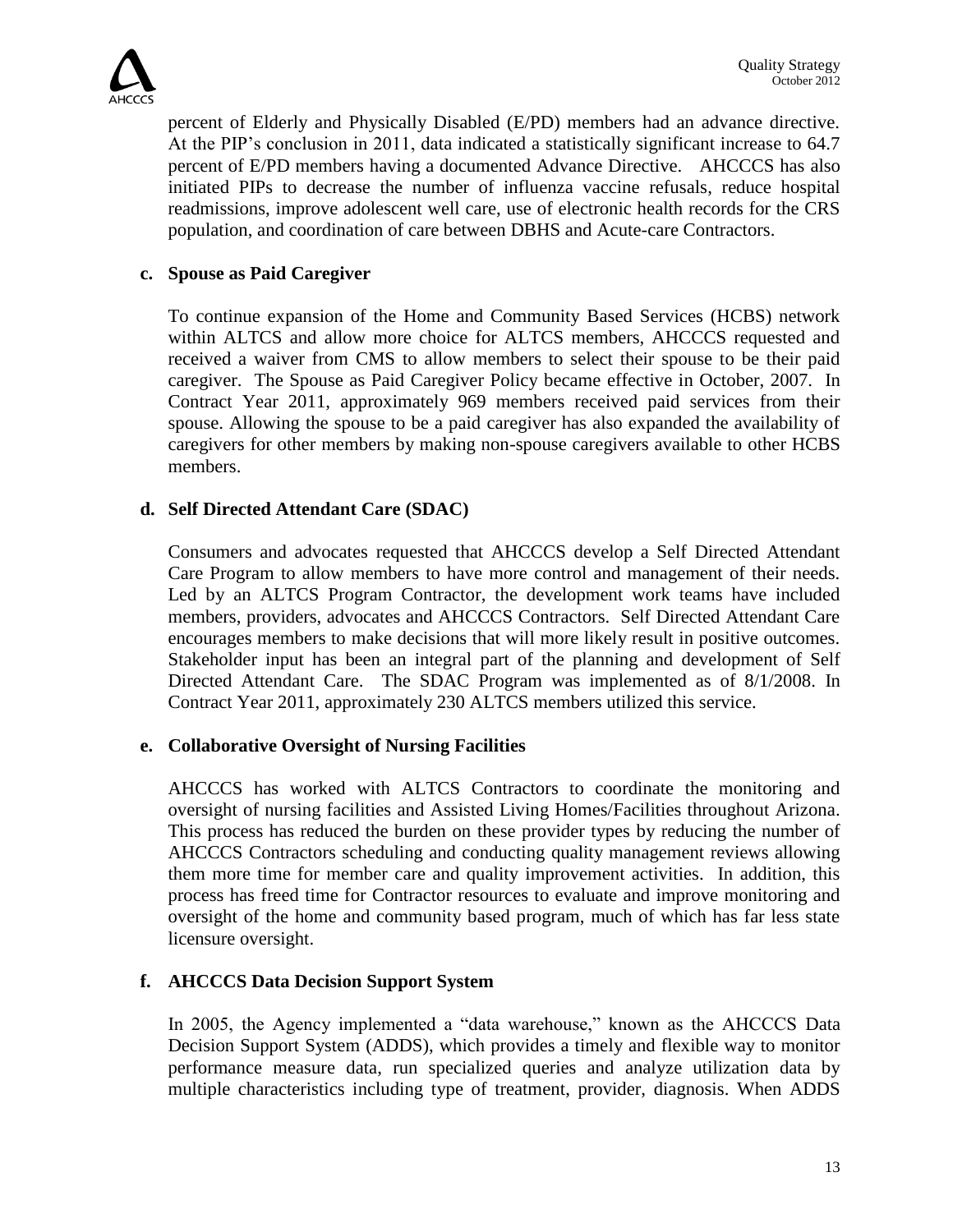

percent of Elderly and Physically Disabled (E/PD) members had an advance directive. At the PIP's conclusion in 2011, data indicated a statistically significant increase to 64.7 percent of E/PD members having a documented Advance Directive. AHCCCS has also initiated PIPs to decrease the number of influenza vaccine refusals, reduce hospital readmissions, improve adolescent well care, use of electronic health records for the CRS population, and coordination of care between DBHS and Acute-care Contractors.

## **c. Spouse as Paid Caregiver**

To continue expansion of the Home and Community Based Services (HCBS) network within ALTCS and allow more choice for ALTCS members, AHCCCS requested and received a waiver from CMS to allow members to select their spouse to be their paid caregiver. The Spouse as Paid Caregiver Policy became effective in October, 2007. In Contract Year 2011, approximately 969 members received paid services from their spouse. Allowing the spouse to be a paid caregiver has also expanded the availability of caregivers for other members by making non-spouse caregivers available to other HCBS members.

## **d. Self Directed Attendant Care (SDAC)**

Consumers and advocates requested that AHCCCS develop a Self Directed Attendant Care Program to allow members to have more control and management of their needs. Led by an ALTCS Program Contractor, the development work teams have included members, providers, advocates and AHCCCS Contractors. Self Directed Attendant Care encourages members to make decisions that will more likely result in positive outcomes. Stakeholder input has been an integral part of the planning and development of Self Directed Attendant Care.The SDAC Program was implemented as of 8/1/2008. In Contract Year 2011, approximately 230 ALTCS members utilized this service.

#### **e. Collaborative Oversight of Nursing Facilities**

AHCCCS has worked with ALTCS Contractors to coordinate the monitoring and oversight of nursing facilities and Assisted Living Homes/Facilities throughout Arizona. This process has reduced the burden on these provider types by reducing the number of AHCCCS Contractors scheduling and conducting quality management reviews allowing them more time for member care and quality improvement activities. In addition, this process has freed time for Contractor resources to evaluate and improve monitoring and oversight of the home and community based program, much of which has far less state licensure oversight.

#### **f. AHCCCS Data Decision Support System**

In 2005, the Agency implemented a "data warehouse," known as the AHCCCS Data Decision Support System (ADDS), which provides a timely and flexible way to monitor performance measure data, run specialized queries and analyze utilization data by multiple characteristics including type of treatment, provider, diagnosis. When ADDS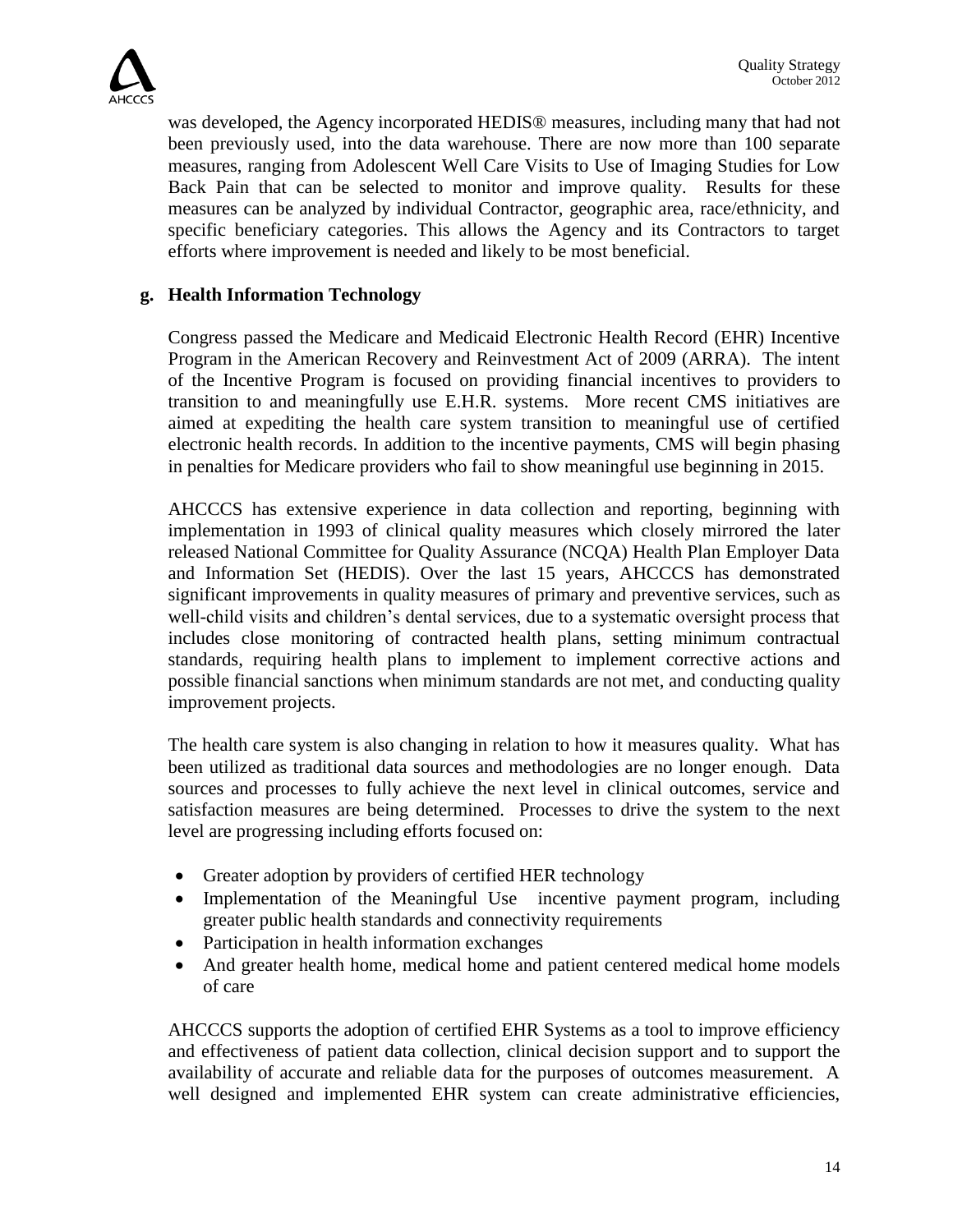

was developed, the Agency incorporated HEDIS® measures, including many that had not been previously used, into the data warehouse. There are now more than 100 separate measures, ranging from Adolescent Well Care Visits to Use of Imaging Studies for Low Back Pain that can be selected to monitor and improve quality. Results for these measures can be analyzed by individual Contractor, geographic area, race/ethnicity, and specific beneficiary categories. This allows the Agency and its Contractors to target efforts where improvement is needed and likely to be most beneficial.

## **g. Health Information Technology**

Congress passed the Medicare and Medicaid Electronic Health Record (EHR) Incentive Program in the American Recovery and Reinvestment Act of 2009 (ARRA). The intent of the Incentive Program is focused on providing financial incentives to providers to transition to and meaningfully use E.H.R. systems. More recent CMS initiatives are aimed at expediting the health care system transition to meaningful use of certified electronic health records. In addition to the incentive payments, CMS will begin phasing in penalties for Medicare providers who fail to show meaningful use beginning in 2015.

AHCCCS has extensive experience in data collection and reporting, beginning with implementation in 1993 of clinical quality measures which closely mirrored the later released National Committee for Quality Assurance (NCQA) Health Plan Employer Data and Information Set (HEDIS). Over the last 15 years, AHCCCS has demonstrated significant improvements in quality measures of primary and preventive services, such as well-child visits and children's dental services, due to a systematic oversight process that includes close monitoring of contracted health plans, setting minimum contractual standards, requiring health plans to implement to implement corrective actions and possible financial sanctions when minimum standards are not met, and conducting quality improvement projects.

The health care system is also changing in relation to how it measures quality. What has been utilized as traditional data sources and methodologies are no longer enough. Data sources and processes to fully achieve the next level in clinical outcomes, service and satisfaction measures are being determined. Processes to drive the system to the next level are progressing including efforts focused on:

- Greater adoption by providers of certified HER technology
- Implementation of the Meaningful Use incentive payment program, including greater public health standards and connectivity requirements
- Participation in health information exchanges
- And greater health home, medical home and patient centered medical home models of care

AHCCCS supports the adoption of certified EHR Systems as a tool to improve efficiency and effectiveness of patient data collection, clinical decision support and to support the availability of accurate and reliable data for the purposes of outcomes measurement. A well designed and implemented EHR system can create administrative efficiencies,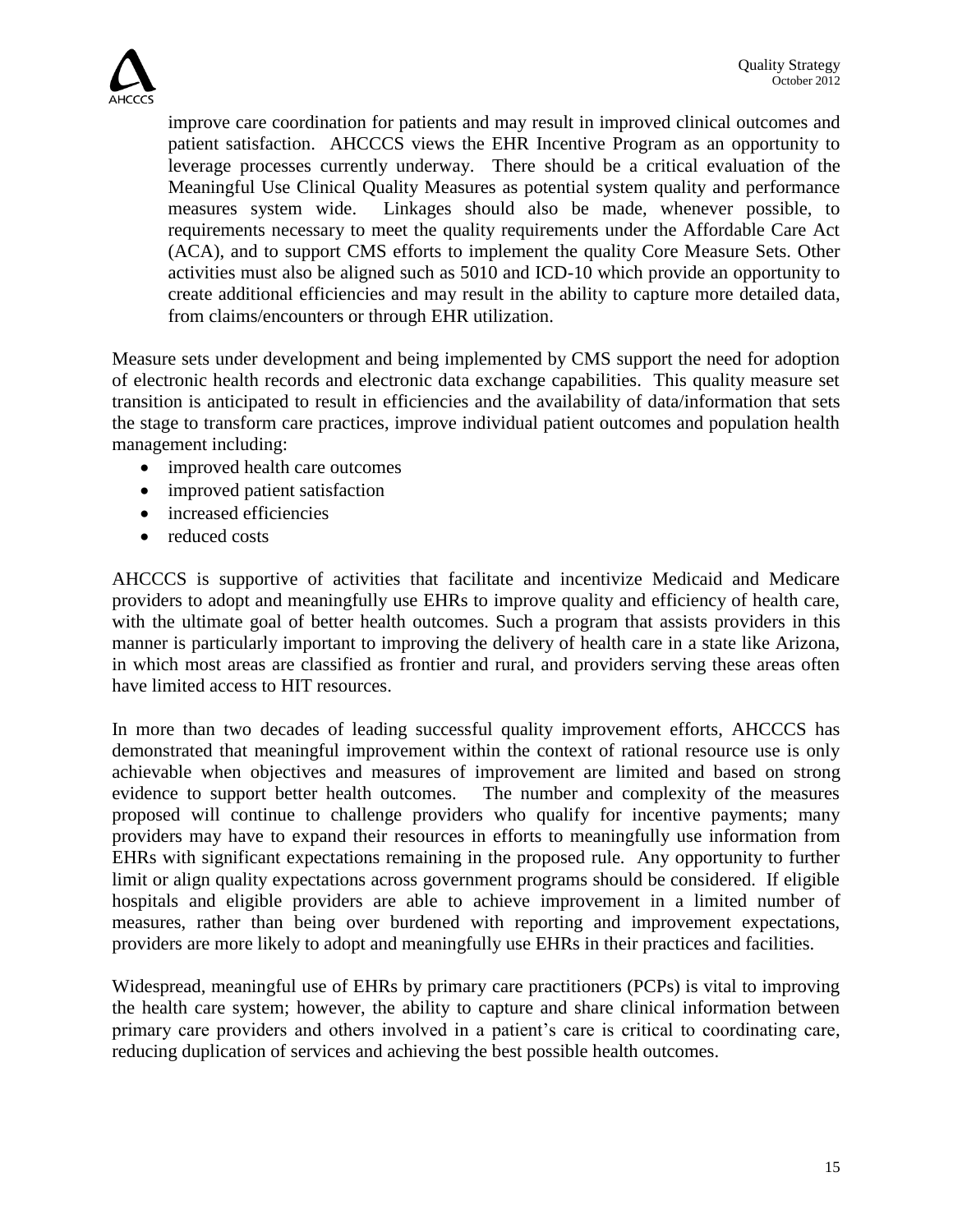

improve care coordination for patients and may result in improved clinical outcomes and patient satisfaction. AHCCCS views the EHR Incentive Program as an opportunity to leverage processes currently underway. There should be a critical evaluation of the Meaningful Use Clinical Quality Measures as potential system quality and performance measures system wide. Linkages should also be made, whenever possible, to requirements necessary to meet the quality requirements under the Affordable Care Act (ACA), and to support CMS efforts to implement the quality Core Measure Sets. Other activities must also be aligned such as 5010 and ICD-10 which provide an opportunity to create additional efficiencies and may result in the ability to capture more detailed data, from claims/encounters or through EHR utilization.

Measure sets under development and being implemented by CMS support the need for adoption of electronic health records and electronic data exchange capabilities. This quality measure set transition is anticipated to result in efficiencies and the availability of data/information that sets the stage to transform care practices, improve individual patient outcomes and population health management including:

- improved health care outcomes
- improved patient satisfaction
- increased efficiencies
- reduced costs

AHCCCS is supportive of activities that facilitate and incentivize Medicaid and Medicare providers to adopt and meaningfully use EHRs to improve quality and efficiency of health care, with the ultimate goal of better health outcomes. Such a program that assists providers in this manner is particularly important to improving the delivery of health care in a state like Arizona, in which most areas are classified as frontier and rural, and providers serving these areas often have limited access to HIT resources.

In more than two decades of leading successful quality improvement efforts, AHCCCS has demonstrated that meaningful improvement within the context of rational resource use is only achievable when objectives and measures of improvement are limited and based on strong evidence to support better health outcomes. The number and complexity of the measures proposed will continue to challenge providers who qualify for incentive payments; many providers may have to expand their resources in efforts to meaningfully use information from EHRs with significant expectations remaining in the proposed rule. Any opportunity to further limit or align quality expectations across government programs should be considered. If eligible hospitals and eligible providers are able to achieve improvement in a limited number of measures, rather than being over burdened with reporting and improvement expectations, providers are more likely to adopt and meaningfully use EHRs in their practices and facilities.

Widespread, meaningful use of EHRs by primary care practitioners (PCPs) is vital to improving the health care system; however, the ability to capture and share clinical information between primary care providers and others involved in a patient's care is critical to coordinating care, reducing duplication of services and achieving the best possible health outcomes.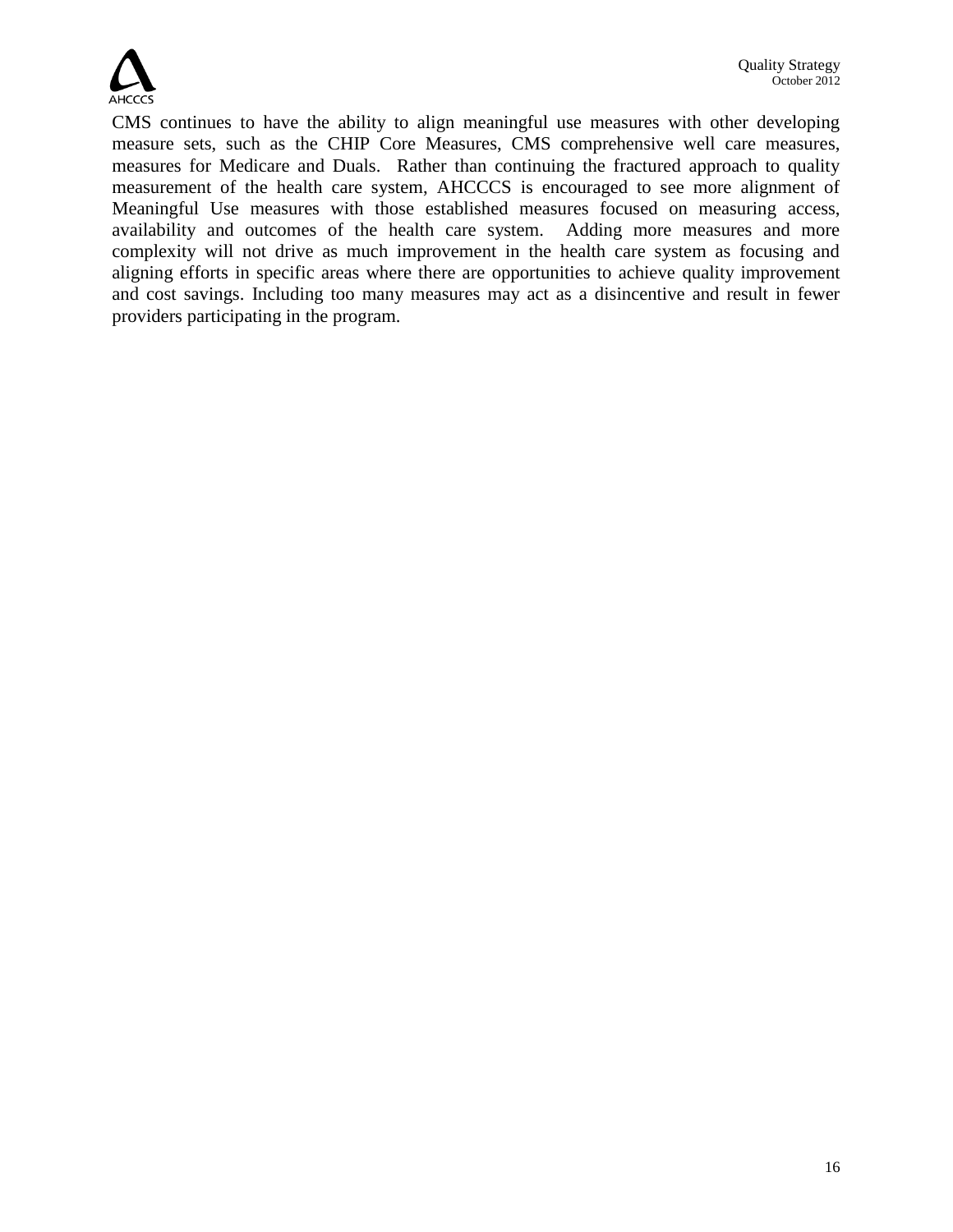

CMS continues to have the ability to align meaningful use measures with other developing measure sets, such as the CHIP Core Measures, CMS comprehensive well care measures, measures for Medicare and Duals. Rather than continuing the fractured approach to quality measurement of the health care system, AHCCCS is encouraged to see more alignment of Meaningful Use measures with those established measures focused on measuring access, availability and outcomes of the health care system. Adding more measures and more complexity will not drive as much improvement in the health care system as focusing and aligning efforts in specific areas where there are opportunities to achieve quality improvement and cost savings. Including too many measures may act as a disincentive and result in fewer providers participating in the program.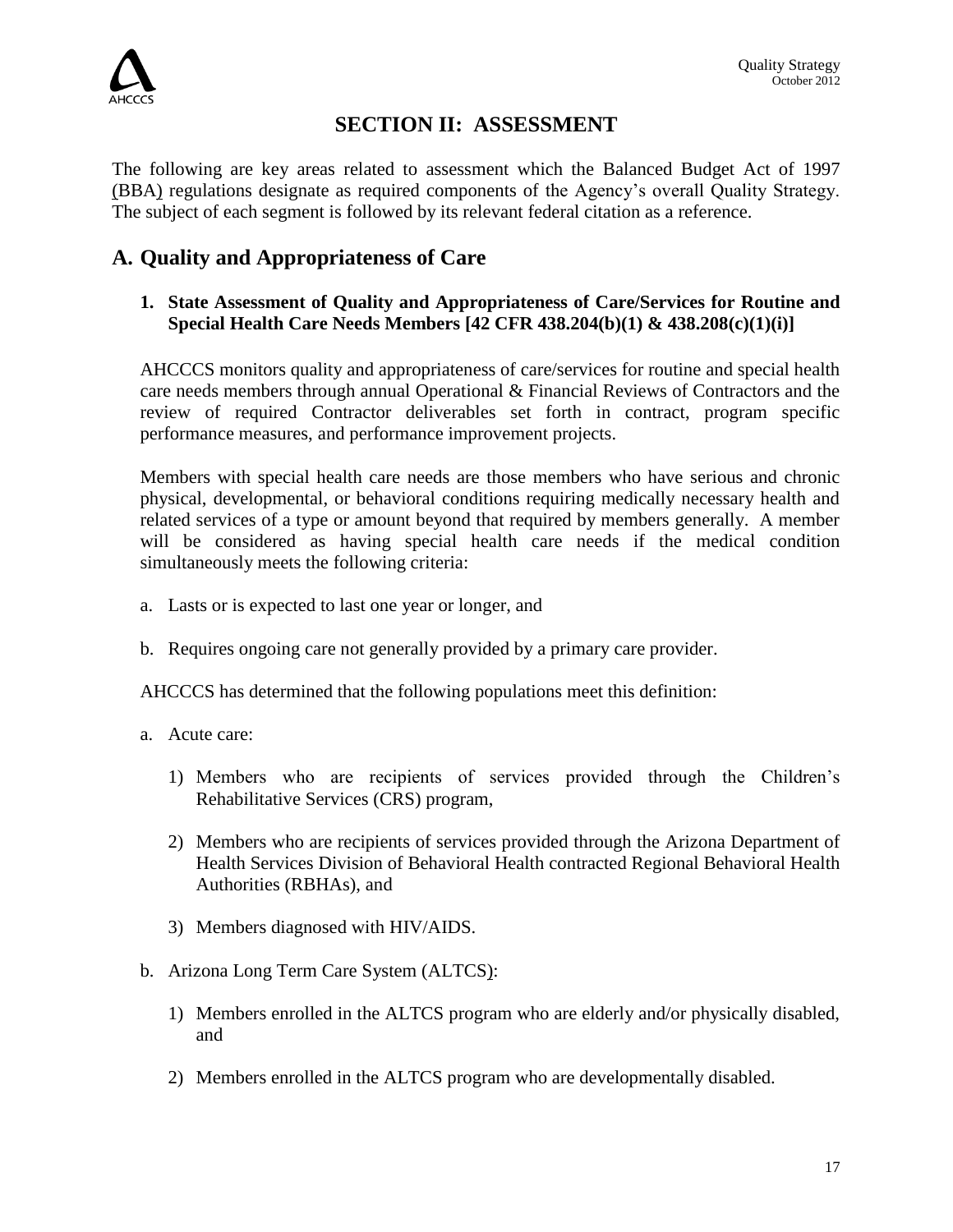

## **SECTION II: ASSESSMENT**

The following are key areas related to assessment which the Balanced Budget Act of 1997 (BBA) regulations designate as required components of the Agency's overall Quality Strategy. The subject of each segment is followed by its relevant federal citation as a reference.

## **A. Quality and Appropriateness of Care**

## **1. State Assessment of Quality and Appropriateness of Care/Services for Routine and Special Health Care Needs Members [42 CFR 438.204(b)(1) & 438.208(c)(1)(i)]**

AHCCCS monitors quality and appropriateness of care/services for routine and special health care needs members through annual Operational & Financial Reviews of Contractors and the review of required Contractor deliverables set forth in contract, program specific performance measures, and performance improvement projects.

Members with special health care needs are those members who have serious and chronic physical, developmental, or behavioral conditions requiring medically necessary health and related services of a type or amount beyond that required by members generally. A member will be considered as having special health care needs if the medical condition simultaneously meets the following criteria:

- a. Lasts or is expected to last one year or longer, and
- b. Requires ongoing care not generally provided by a primary care provider.

AHCCCS has determined that the following populations meet this definition:

- a. Acute care:
	- 1) Members who are recipients of services provided through the Children's Rehabilitative Services (CRS) program,
	- 2) Members who are recipients of services provided through the Arizona Department of Health Services Division of Behavioral Health contracted Regional Behavioral Health Authorities (RBHAs), and
	- 3) Members diagnosed with HIV/AIDS.
- b. Arizona Long Term Care System (ALTCS):
	- 1) Members enrolled in the ALTCS program who are elderly and/or physically disabled, and
	- 2) Members enrolled in the ALTCS program who are developmentally disabled.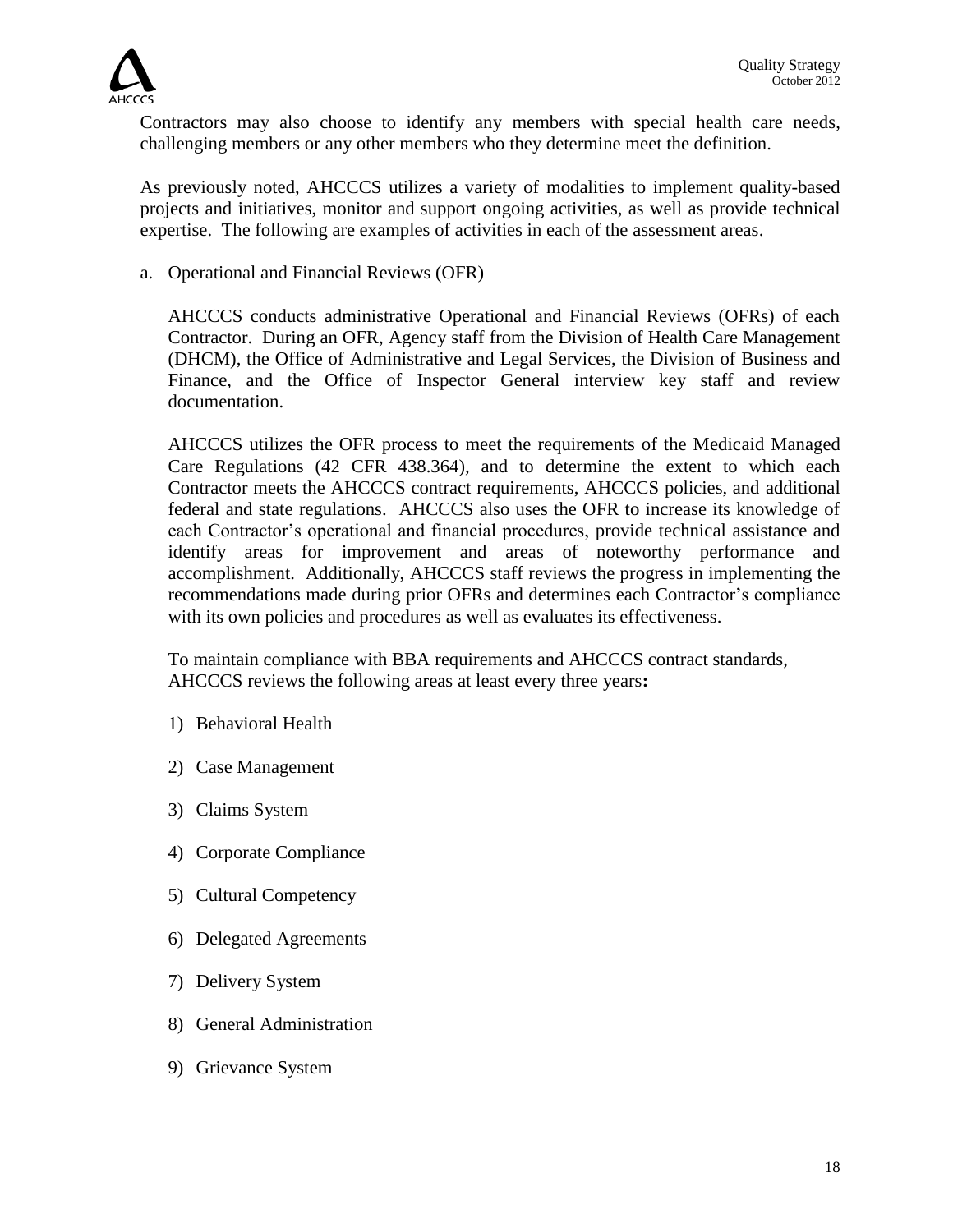

Contractors may also choose to identify any members with special health care needs, challenging members or any other members who they determine meet the definition.

As previously noted, AHCCCS utilizes a variety of modalities to implement quality-based projects and initiatives, monitor and support ongoing activities, as well as provide technical expertise. The following are examples of activities in each of the assessment areas.

a. Operational and Financial Reviews (OFR)

AHCCCS conducts administrative Operational and Financial Reviews (OFRs) of each Contractor. During an OFR, Agency staff from the Division of Health Care Management (DHCM), the Office of Administrative and Legal Services, the Division of Business and Finance, and the Office of Inspector General interview key staff and review documentation.

AHCCCS utilizes the OFR process to meet the requirements of the Medicaid Managed Care Regulations (42 CFR 438.364), and to determine the extent to which each Contractor meets the AHCCCS contract requirements, AHCCCS policies, and additional federal and state regulations. AHCCCS also uses the OFR to increase its knowledge of each Contractor's operational and financial procedures, provide technical assistance and identify areas for improvement and areas of noteworthy performance and accomplishment. Additionally, AHCCCS staff reviews the progress in implementing the recommendations made during prior OFRs and determines each Contractor's compliance with its own policies and procedures as well as evaluates its effectiveness.

To maintain compliance with BBA requirements and AHCCCS contract standards, AHCCCS reviews the following areas at least every three years**:**

- 1) Behavioral Health
- 2) Case Management
- 3) Claims System
- 4) Corporate Compliance
- 5) Cultural Competency
- 6) Delegated Agreements
- 7) Delivery System
- 8) General Administration
- 9) Grievance System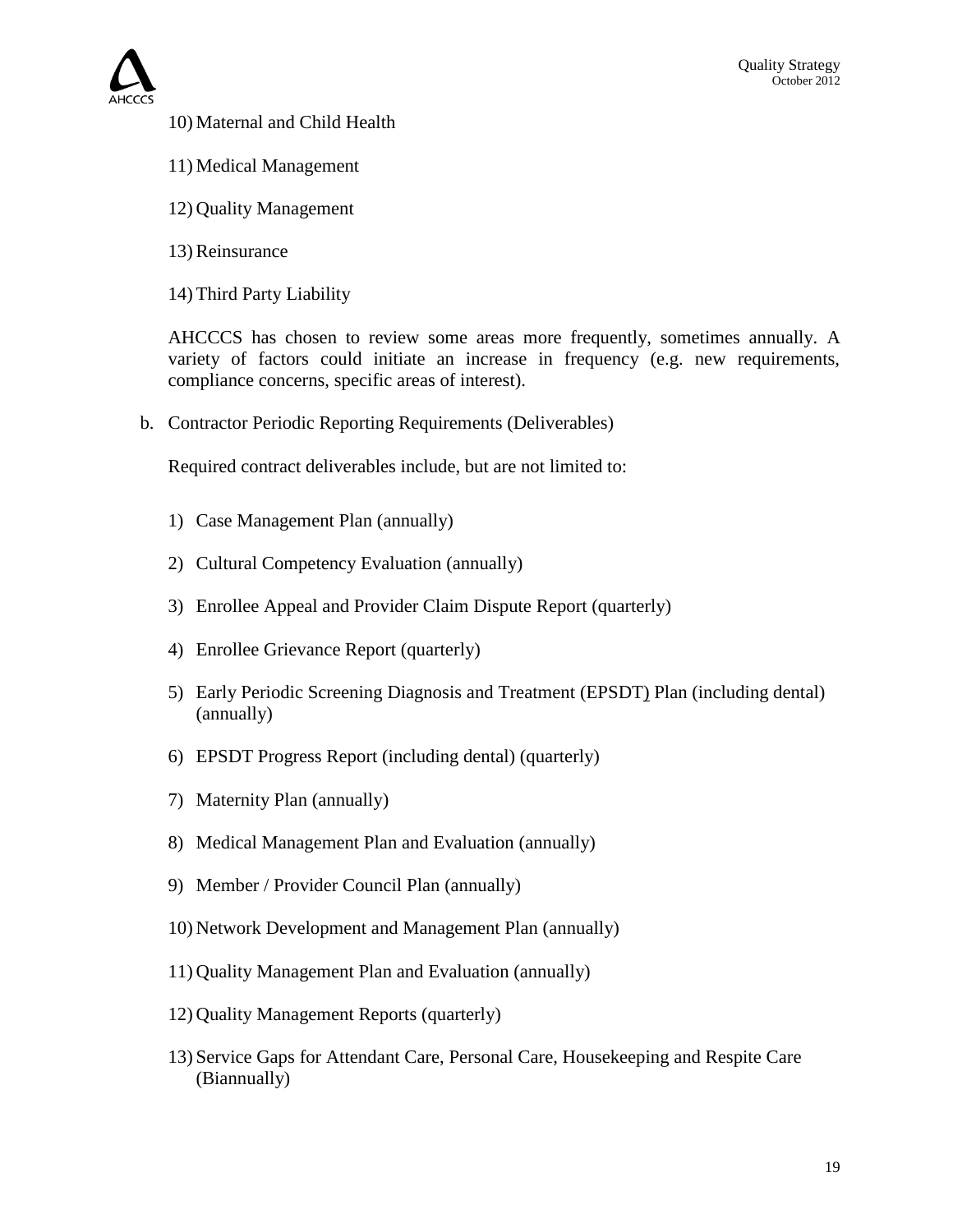

- 10) Maternal and Child Health
- 11) Medical Management
- 12) Quality Management
- 13) Reinsurance
- 14) Third Party Liability

AHCCCS has chosen to review some areas more frequently, sometimes annually. A variety of factors could initiate an increase in frequency (e.g. new requirements, compliance concerns, specific areas of interest).

b. Contractor Periodic Reporting Requirements (Deliverables)

Required contract deliverables include, but are not limited to:

- 1) Case Management Plan (annually)
- 2) Cultural Competency Evaluation (annually)
- 3) Enrollee Appeal and Provider Claim Dispute Report (quarterly)
- 4) Enrollee Grievance Report (quarterly)
- 5) Early Periodic Screening Diagnosis and Treatment (EPSDT) Plan (including dental) (annually)
- 6) EPSDT Progress Report (including dental) (quarterly)
- 7) Maternity Plan (annually)
- 8) Medical Management Plan and Evaluation (annually)
- 9) Member / Provider Council Plan (annually)
- 10) Network Development and Management Plan (annually)
- 11) Quality Management Plan and Evaluation (annually)
- 12) Quality Management Reports (quarterly)
- 13) Service Gaps for Attendant Care, Personal Care, Housekeeping and Respite Care (Biannually)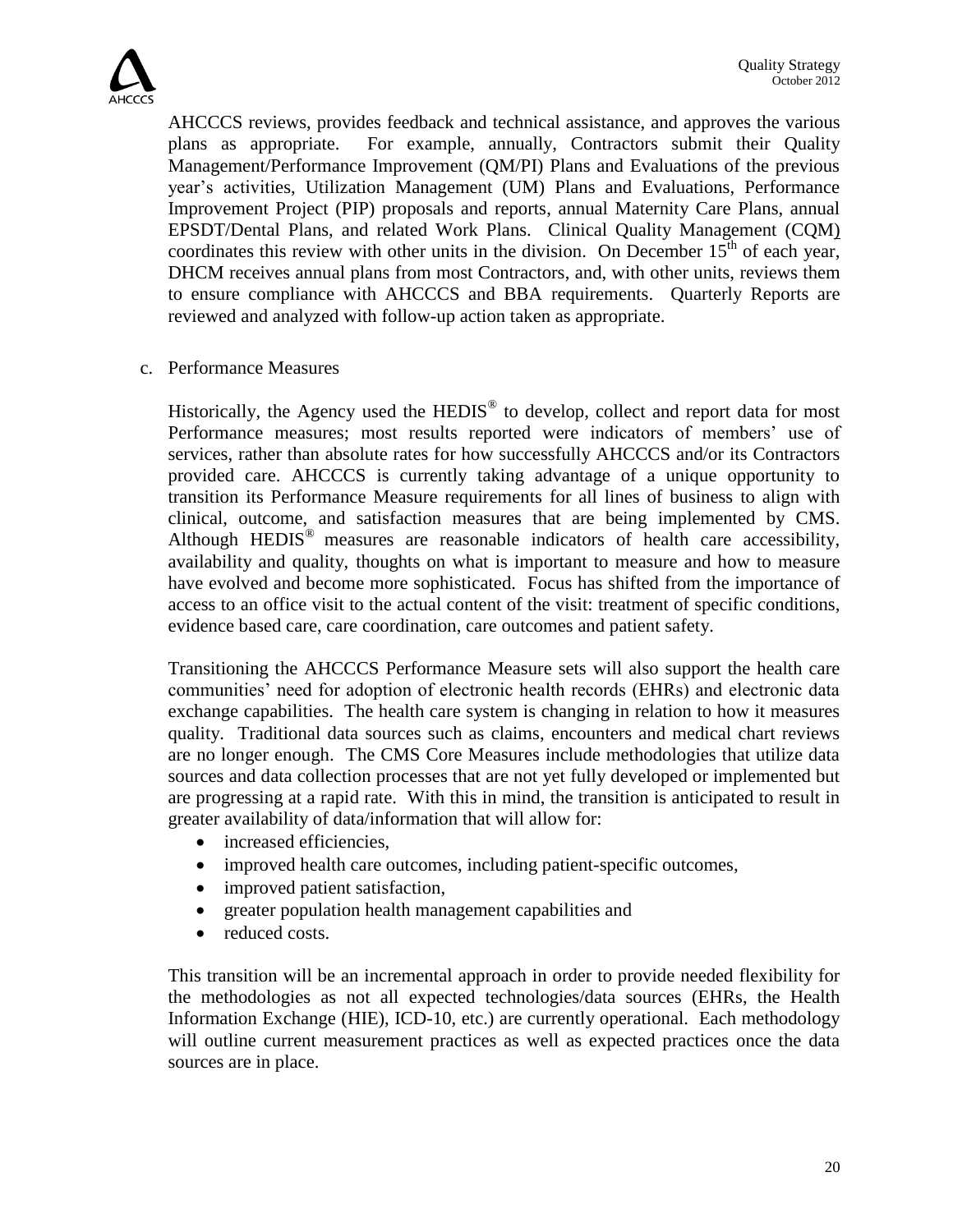

AHCCCS reviews, provides feedback and technical assistance, and approves the various plans as appropriate. For example, annually, Contractors submit their Quality Management/Performance Improvement (QM/PI) Plans and Evaluations of the previous year's activities, Utilization Management (UM) Plans and Evaluations, Performance Improvement Project (PIP) proposals and reports, annual Maternity Care Plans, annual EPSDT/Dental Plans, and related Work Plans. Clinical Quality Management (CQM) coordinates this review with other units in the division. On December  $15<sup>th</sup>$  of each year, DHCM receives annual plans from most Contractors, and, with other units, reviews them to ensure compliance with AHCCCS and BBA requirements.Quarterly Reports are reviewed and analyzed with follow-up action taken as appropriate.

c. Performance Measures

Historically, the Agency used the HEDIS<sup>®</sup> to develop, collect and report data for most Performance measures; most results reported were indicators of members' use of services, rather than absolute rates for how successfully AHCCCS and/or its Contractors provided care. AHCCCS is currently taking advantage of a unique opportunity to transition its Performance Measure requirements for all lines of business to align with clinical, outcome, and satisfaction measures that are being implemented by CMS. Although HEDIS<sup>®</sup> measures are reasonable indicators of health care accessibility, availability and quality, thoughts on what is important to measure and how to measure have evolved and become more sophisticated. Focus has shifted from the importance of access to an office visit to the actual content of the visit: treatment of specific conditions, evidence based care, care coordination, care outcomes and patient safety.

Transitioning the AHCCCS Performance Measure sets will also support the health care communities' need for adoption of electronic health records (EHRs) and electronic data exchange capabilities. The health care system is changing in relation to how it measures quality. Traditional data sources such as claims, encounters and medical chart reviews are no longer enough. The CMS Core Measures include methodologies that utilize data sources and data collection processes that are not yet fully developed or implemented but are progressing at a rapid rate. With this in mind, the transition is anticipated to result in greater availability of data/information that will allow for:

- increased efficiencies.
- improved health care outcomes, including patient-specific outcomes,
- improved patient satisfaction,
- greater population health management capabilities and
- reduced costs.

This transition will be an incremental approach in order to provide needed flexibility for the methodologies as not all expected technologies/data sources (EHRs, the Health Information Exchange (HIE), ICD-10, etc.) are currently operational. Each methodology will outline current measurement practices as well as expected practices once the data sources are in place.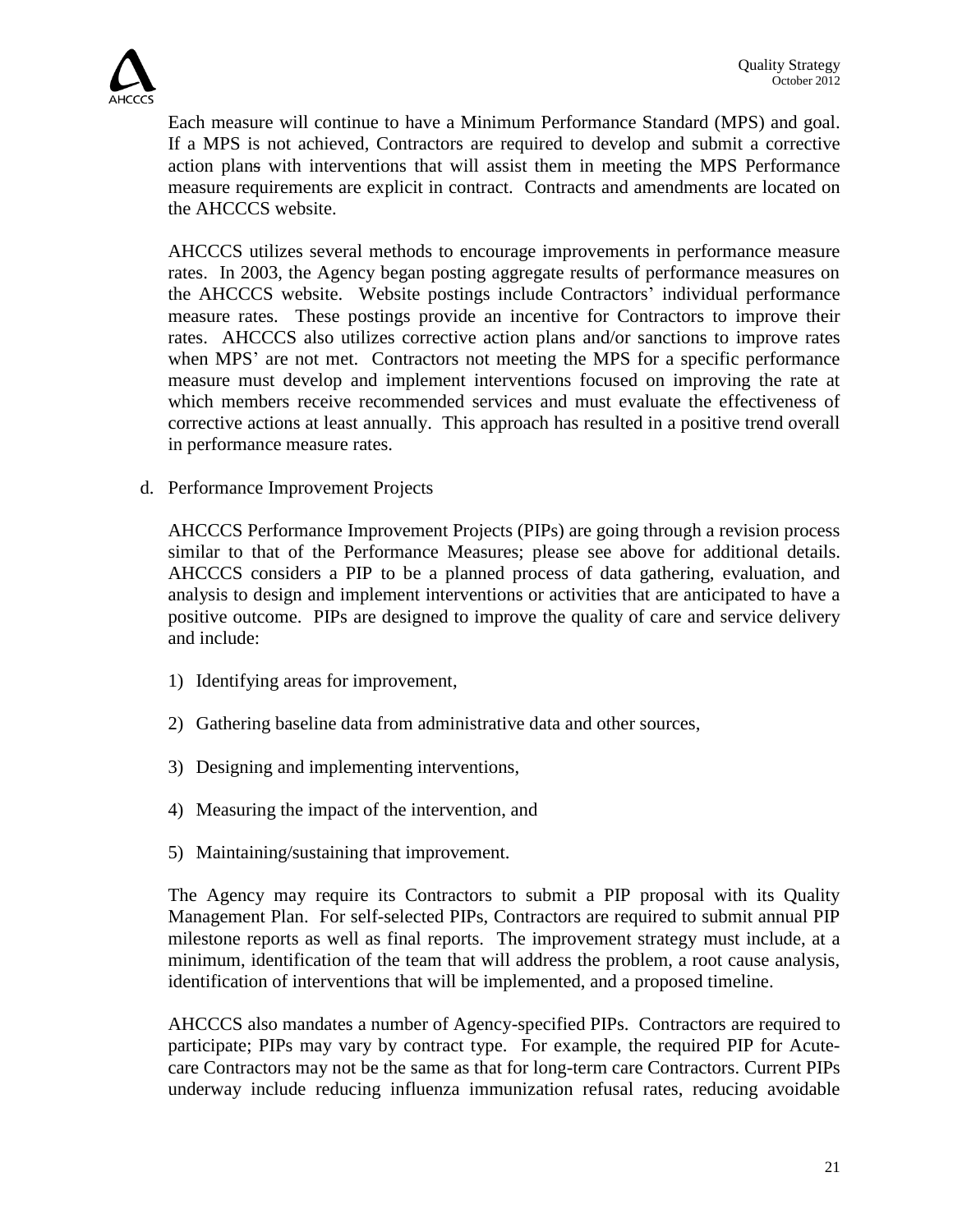

Each measure will continue to have a Minimum Performance Standard (MPS) and goal. If a MPS is not achieved, Contractors are required to develop and submit a corrective action plans with interventions that will assist them in meeting the MPS Performance measure requirements are explicit in contract. Contracts and amendments are located on the AHCCCS website.

AHCCCS utilizes several methods to encourage improvements in performance measure rates. In 2003, the Agency began posting aggregate results of performance measures on the AHCCCS website. Website postings include Contractors' individual performance measure rates. These postings provide an incentive for Contractors to improve their rates. AHCCCS also utilizes corrective action plans and/or sanctions to improve rates when MPS' are not met. Contractors not meeting the MPS for a specific performance measure must develop and implement interventions focused on improving the rate at which members receive recommended services and must evaluate the effectiveness of corrective actions at least annually. This approach has resulted in a positive trend overall in performance measure rates.

d. Performance Improvement Projects

AHCCCS Performance Improvement Projects (PIPs) are going through a revision process similar to that of the Performance Measures; please see above for additional details. AHCCCS considers a PIP to be a planned process of data gathering, evaluation, and analysis to design and implement interventions or activities that are anticipated to have a positive outcome. PIPs are designed to improve the quality of care and service delivery and include:

- 1) Identifying areas for improvement,
- 2) Gathering baseline data from administrative data and other sources,
- 3) Designing and implementing interventions,
- 4) Measuring the impact of the intervention, and
- 5) Maintaining/sustaining that improvement.

The Agency may require its Contractors to submit a PIP proposal with its Quality Management Plan. For self-selected PIPs, Contractors are required to submit annual PIP milestone reports as well as final reports. The improvement strategy must include, at a minimum, identification of the team that will address the problem, a root cause analysis, identification of interventions that will be implemented, and a proposed timeline.

AHCCCS also mandates a number of Agency-specified PIPs. Contractors are required to participate; PIPs may vary by contract type. For example, the required PIP for Acutecare Contractors may not be the same as that for long-term care Contractors. Current PIPs underway include reducing influenza immunization refusal rates, reducing avoidable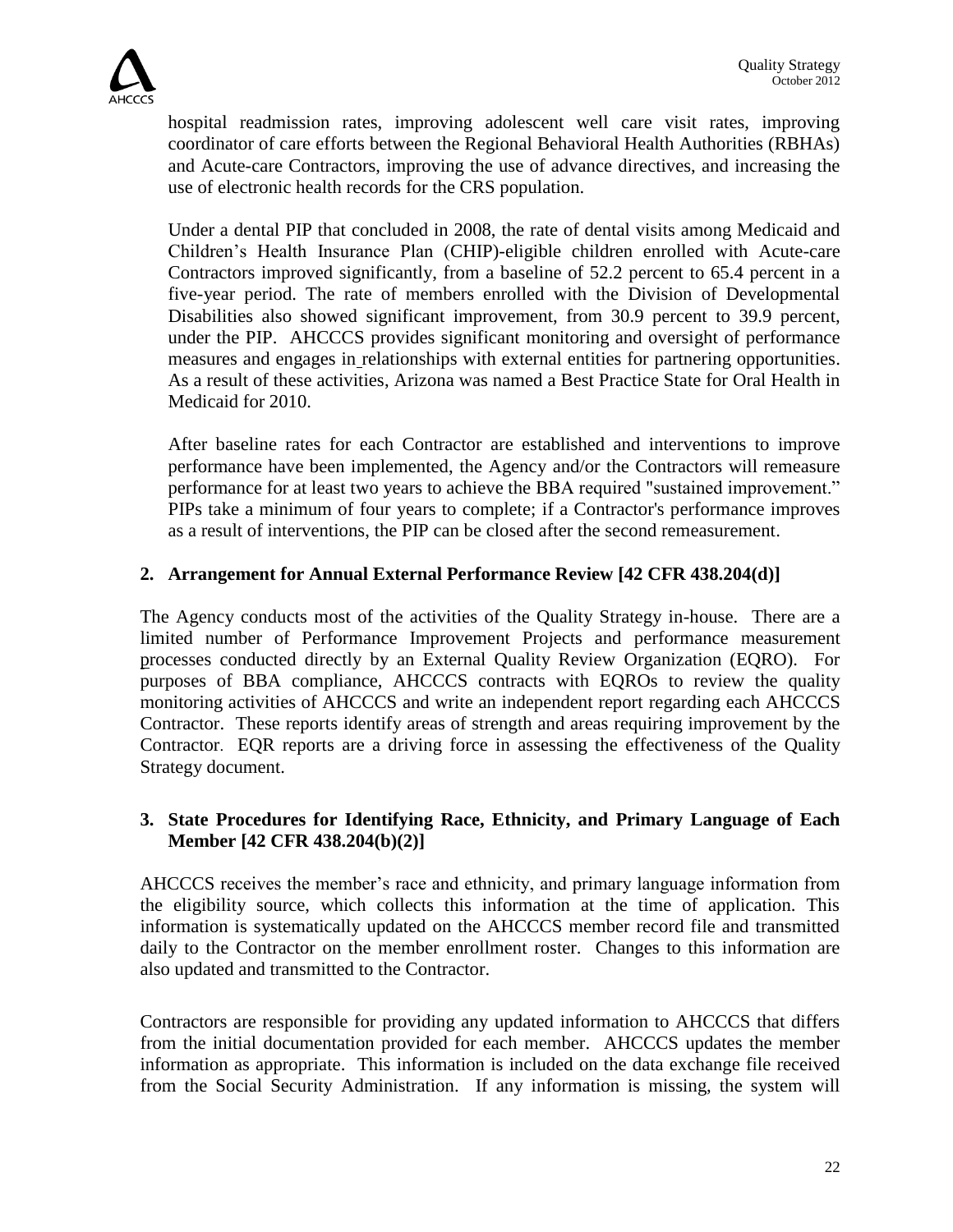

hospital readmission rates, improving adolescent well care visit rates, improving coordinator of care efforts between the Regional Behavioral Health Authorities (RBHAs) and Acute-care Contractors, improving the use of advance directives, and increasing the use of electronic health records for the CRS population.

Under a dental PIP that concluded in 2008, the rate of dental visits among Medicaid and Children's Health Insurance Plan (CHIP)-eligible children enrolled with Acute-care Contractors improved significantly, from a baseline of 52.2 percent to 65.4 percent in a five-year period. The rate of members enrolled with the Division of Developmental Disabilities also showed significant improvement, from 30.9 percent to 39.9 percent, under the PIP. AHCCCS provides significant monitoring and oversight of performance measures and engages in relationships with external entities for partnering opportunities. As a result of these activities, Arizona was named a Best Practice State for Oral Health in Medicaid for 2010.

After baseline rates for each Contractor are established and interventions to improve performance have been implemented, the Agency and/or the Contractors will remeasure performance for at least two years to achieve the BBA required "sustained improvement." PIPs take a minimum of four years to complete; if a Contractor's performance improves as a result of interventions, the PIP can be closed after the second remeasurement.

## **2. Arrangement for Annual External Performance Review [42 CFR 438.204(d)]**

The Agency conducts most of the activities of the Quality Strategy in-house. There are a limited number of Performance Improvement Projects and performance measurement processes conducted directly by an External Quality Review Organization (EQRO). For purposes of BBA compliance, AHCCCS contracts with EQROs to review the quality monitoring activities of AHCCCS and write an independent report regarding each AHCCCS Contractor. These reports identify areas of strength and areas requiring improvement by the Contractor. EQR reports are a driving force in assessing the effectiveness of the Quality Strategy document.

## **3. State Procedures for Identifying Race, Ethnicity, and Primary Language of Each Member [42 CFR 438.204(b)(2)]**

AHCCCS receives the member's race and ethnicity, and primary language information from the eligibility source, which collects this information at the time of application. This information is systematically updated on the AHCCCS member record file and transmitted daily to the Contractor on the member enrollment roster. Changes to this information are also updated and transmitted to the Contractor.

Contractors are responsible for providing any updated information to AHCCCS that differs from the initial documentation provided for each member. AHCCCS updates the member information as appropriate. This information is included on the data exchange file received from the Social Security Administration. If any information is missing, the system will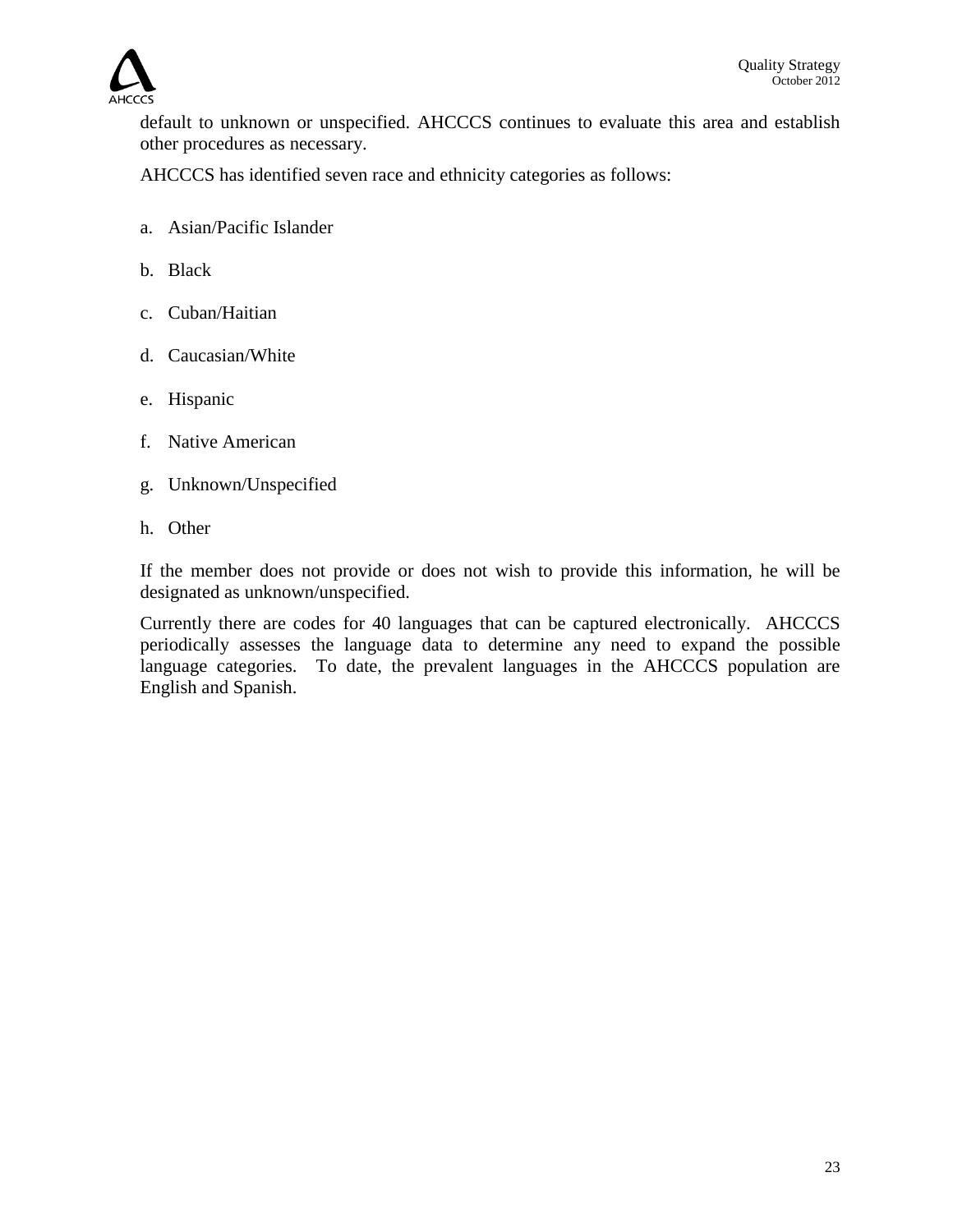

default to unknown or unspecified. AHCCCS continues to evaluate this area and establish other procedures as necessary.

AHCCCS has identified seven race and ethnicity categories as follows:

- a. Asian/Pacific Islander
- b. Black
- c. Cuban/Haitian
- d. Caucasian/White
- e. Hispanic
- f. Native American
- g. Unknown/Unspecified
- h. Other

If the member does not provide or does not wish to provide this information, he will be designated as unknown/unspecified.

Currently there are codes for 40 languages that can be captured electronically. AHCCCS periodically assesses the language data to determine any need to expand the possible language categories. To date, the prevalent languages in the AHCCCS population are English and Spanish.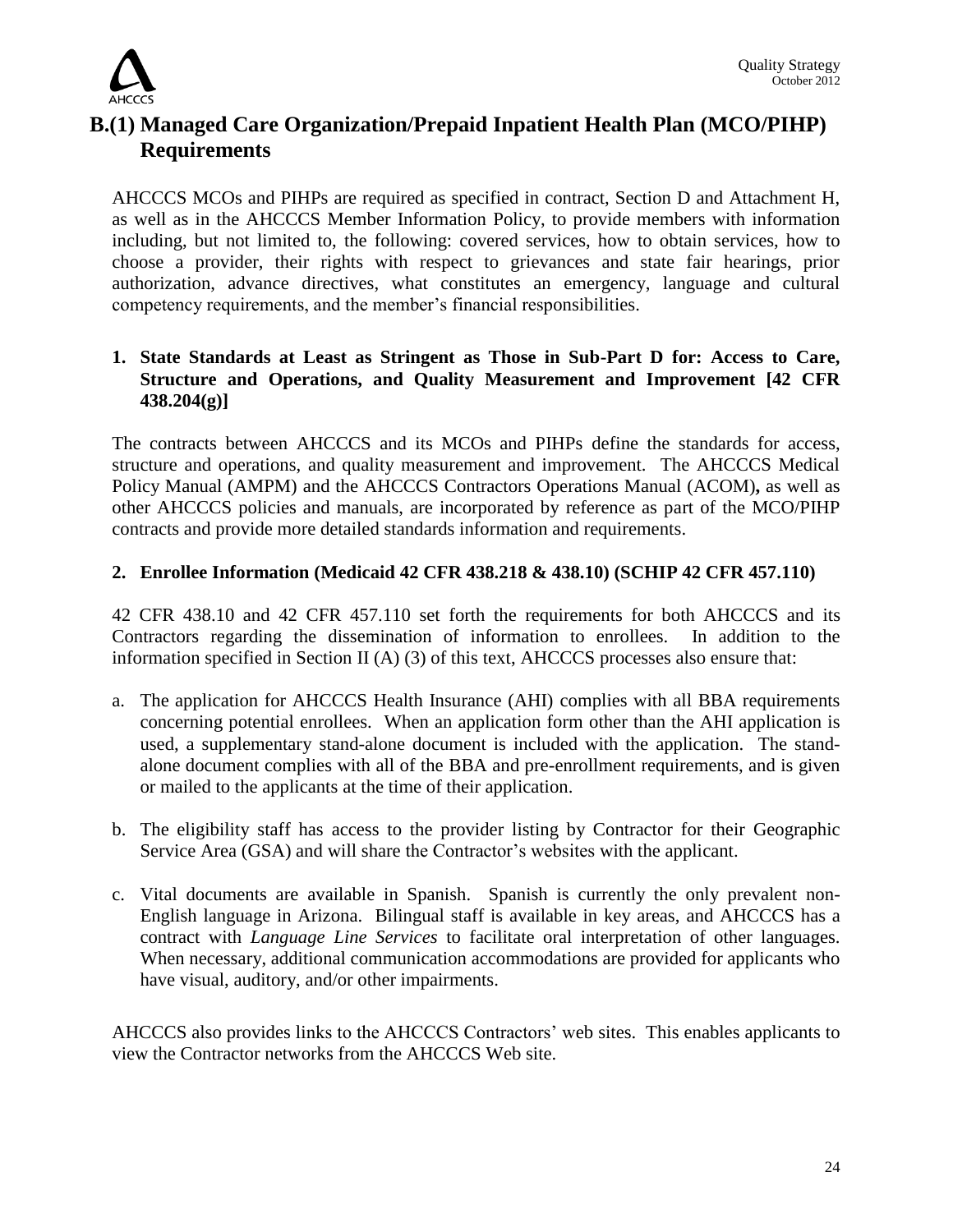

## **B.(1) Managed Care Organization/Prepaid Inpatient Health Plan (MCO/PIHP) Requirements**

AHCCCS MCOs and PIHPs are required as specified in contract, Section D and Attachment H, as well as in the AHCCCS Member Information Policy, to provide members with information including, but not limited to, the following: covered services, how to obtain services, how to choose a provider, their rights with respect to grievances and state fair hearings, prior authorization, advance directives, what constitutes an emergency, language and cultural competency requirements, and the member's financial responsibilities.

## **1. State Standards at Least as Stringent as Those in Sub-Part D for: Access to Care, Structure and Operations, and Quality Measurement and Improvement [42 CFR 438.204(g)]**

The contracts between AHCCCS and its MCOs and PIHPs define the standards for access, structure and operations, and quality measurement and improvement. The AHCCCS Medical Policy Manual (AMPM) and the AHCCCS Contractors Operations Manual (ACOM)**,** as well as other AHCCCS policies and manuals, are incorporated by reference as part of the MCO/PIHP contracts and provide more detailed standards information and requirements.

## **2. Enrollee Information (Medicaid 42 CFR 438.218 & 438.10) (SCHIP 42 CFR 457.110)**

42 CFR 438.10 and 42 CFR 457.110 set forth the requirements for both AHCCCS and its Contractors regarding the dissemination of information to enrollees. In addition to the information specified in Section II (A) (3) of this text, AHCCCS processes also ensure that:

- a. The application for AHCCCS Health Insurance (AHI) complies with all BBA requirements concerning potential enrollees. When an application form other than the AHI application is used, a supplementary stand-alone document is included with the application. The standalone document complies with all of the BBA and pre-enrollment requirements, and is given or mailed to the applicants at the time of their application.
- b. The eligibility staff has access to the provider listing by Contractor for their Geographic Service Area (GSA) and will share the Contractor's websites with the applicant.
- c. Vital documents are available in Spanish. Spanish is currently the only prevalent non-English language in Arizona. Bilingual staff is available in key areas, and AHCCCS has a contract with *Language Line Services* to facilitate oral interpretation of other languages. When necessary, additional communication accommodations are provided for applicants who have visual, auditory, and/or other impairments.

AHCCCS also provides links to the AHCCCS Contractors' web sites. This enables applicants to view the Contractor networks from the AHCCCS Web site.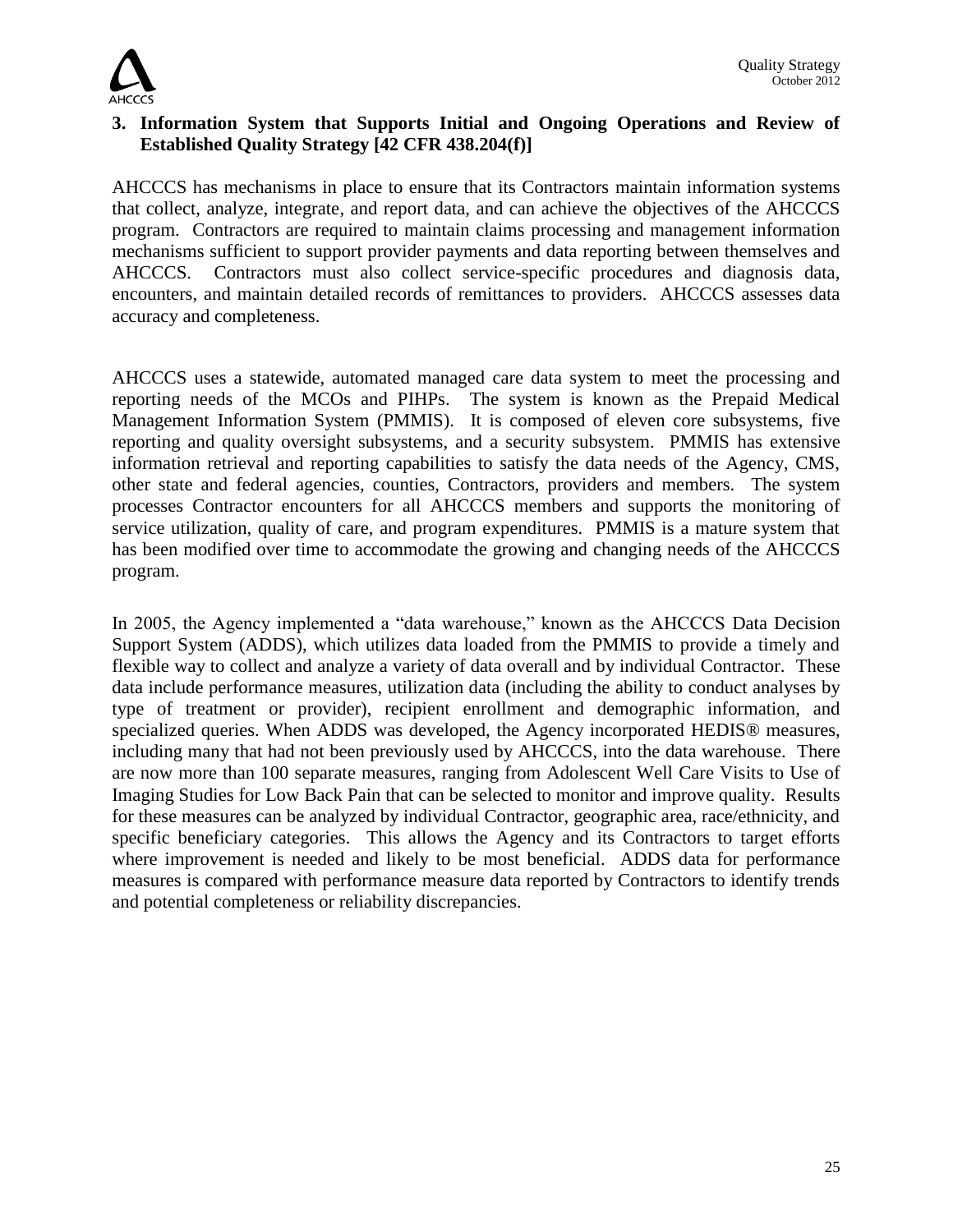

## **3. Information System that Supports Initial and Ongoing Operations and Review of Established Quality Strategy [42 CFR 438.204(f)]**

AHCCCS has mechanisms in place to ensure that its Contractors maintain information systems that collect, analyze, integrate, and report data, and can achieve the objectives of the AHCCCS program. Contractors are required to maintain claims processing and management information mechanisms sufficient to support provider payments and data reporting between themselves and AHCCCS. Contractors must also collect service-specific procedures and diagnosis data, encounters, and maintain detailed records of remittances to providers. AHCCCS assesses data accuracy and completeness.

AHCCCS uses a statewide, automated managed care data system to meet the processing and reporting needs of the MCOs and PIHPs. The system is known as the Prepaid Medical Management Information System (PMMIS). It is composed of eleven core subsystems, five reporting and quality oversight subsystems, and a security subsystem. PMMIS has extensive information retrieval and reporting capabilities to satisfy the data needs of the Agency, CMS, other state and federal agencies, counties, Contractors, providers and members. The system processes Contractor encounters for all AHCCCS members and supports the monitoring of service utilization, quality of care, and program expenditures. PMMIS is a mature system that has been modified over time to accommodate the growing and changing needs of the AHCCCS program.

In 2005, the Agency implemented a "data warehouse," known as the AHCCCS Data Decision Support System (ADDS), which utilizes data loaded from the PMMIS to provide a timely and flexible way to collect and analyze a variety of data overall and by individual Contractor. These data include performance measures, utilization data (including the ability to conduct analyses by type of treatment or provider), recipient enrollment and demographic information, and specialized queries. When ADDS was developed, the Agency incorporated HEDIS<sup>®</sup> measures, including many that had not been previously used by AHCCCS, into the data warehouse. There are now more than 100 separate measures, ranging from Adolescent Well Care Visits to Use of Imaging Studies for Low Back Pain that can be selected to monitor and improve quality. Results for these measures can be analyzed by individual Contractor, geographic area, race/ethnicity, and specific beneficiary categories. This allows the Agency and its Contractors to target efforts where improvement is needed and likely to be most beneficial. ADDS data for performance measures is compared with performance measure data reported by Contractors to identify trends and potential completeness or reliability discrepancies.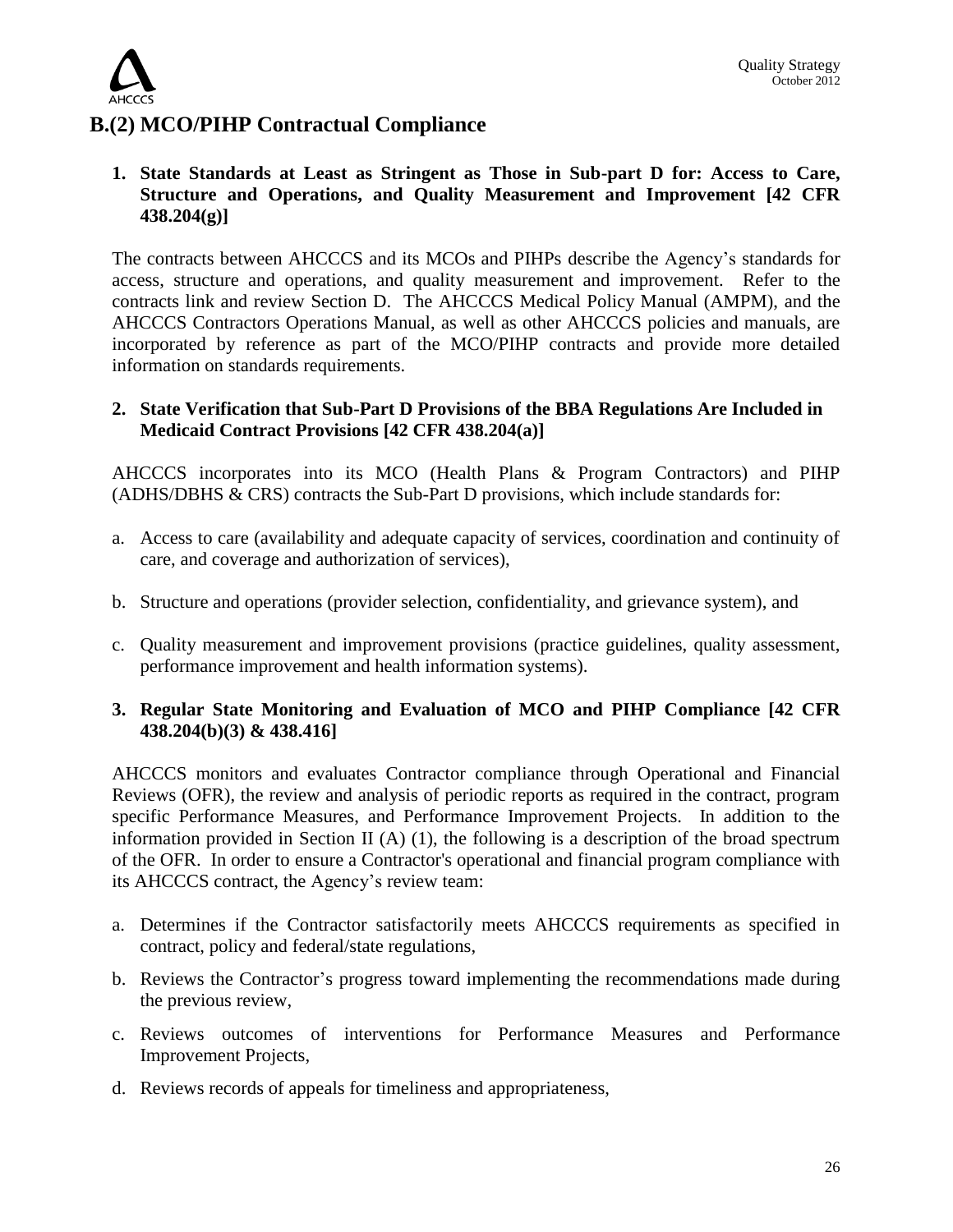

## **B.(2) MCO/PIHP Contractual Compliance**

#### **1. State Standards at Least as Stringent as Those in Sub-part D for: Access to Care, Structure and Operations, and Quality Measurement and Improvement [42 CFR 438.204(g)]**

The contracts between AHCCCS and its MCOs and PIHPs describe the Agency's standards for access, structure and operations, and quality measurement and improvement. Refer to the contracts link and review Section D. The AHCCCS Medical Policy Manual (AMPM), and the AHCCCS Contractors Operations Manual, as well as other AHCCCS policies and manuals, are incorporated by reference as part of the MCO/PIHP contracts and provide more detailed information on standards requirements.

#### **2. State Verification that Sub-Part D Provisions of the BBA Regulations Are Included in Medicaid Contract Provisions [42 CFR 438.204(a)]**

AHCCCS incorporates into its MCO (Health Plans & Program Contractors) and PIHP (ADHS/DBHS & CRS) contracts the Sub-Part D provisions, which include standards for:

- a. Access to care (availability and adequate capacity of services, coordination and continuity of care, and coverage and authorization of services),
- b. Structure and operations (provider selection, confidentiality, and grievance system), and
- c. Quality measurement and improvement provisions (practice guidelines, quality assessment, performance improvement and health information systems).

## **3. Regular State Monitoring and Evaluation of MCO and PIHP Compliance [42 CFR 438.204(b)(3) & 438.416]**

AHCCCS monitors and evaluates Contractor compliance through Operational and Financial Reviews (OFR), the review and analysis of periodic reports as required in the contract, program specific Performance Measures, and Performance Improvement Projects. In addition to the information provided in Section II (A) (1), the following is a description of the broad spectrum of the OFR. In order to ensure a Contractor's operational and financial program compliance with its AHCCCS contract, the Agency's review team:

- a. Determines if the Contractor satisfactorily meets AHCCCS requirements as specified in contract, policy and federal/state regulations,
- b. Reviews the Contractor's progress toward implementing the recommendations made during the previous review,
- c. Reviews outcomes of interventions for Performance Measures and Performance Improvement Projects,
- d. Reviews records of appeals for timeliness and appropriateness,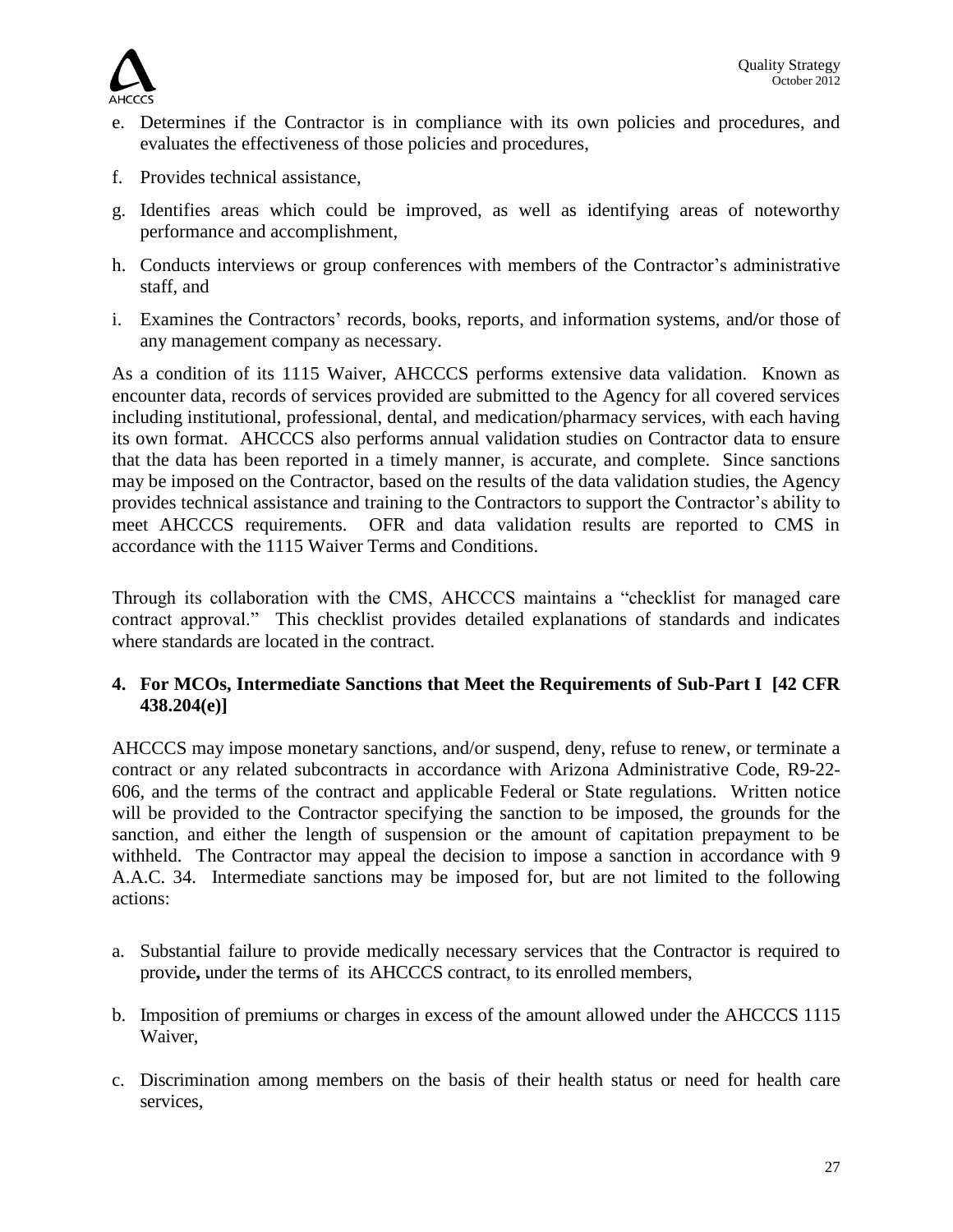

- e. Determines if the Contractor is in compliance with its own policies and procedures, and evaluates the effectiveness of those policies and procedures,
- f. Provides technical assistance,
- g. Identifies areas which could be improved, as well as identifying areas of noteworthy performance and accomplishment,
- h. Conducts interviews or group conferences with members of the Contractor's administrative staff, and
- i. Examines the Contractors' records, books, reports, and information systems, and**/**or those of any management company as necessary.

As a condition of its 1115 Waiver, AHCCCS performs extensive data validation. Known as encounter data, records of services provided are submitted to the Agency for all covered services including institutional, professional, dental, and medication/pharmacy services, with each having its own format. AHCCCS also performs annual validation studies on Contractor data to ensure that the data has been reported in a timely manner, is accurate, and complete. Since sanctions may be imposed on the Contractor, based on the results of the data validation studies, the Agency provides technical assistance and training to the Contractors to support the Contractor's ability to meet AHCCCS requirements. OFR and data validation results are reported to CMS in accordance with the 1115 Waiver Terms and Conditions.

Through its collaboration with the CMS, AHCCCS maintains a "checklist for managed care contract approval." This checklist provides detailed explanations of standards and indicates where standards are located in the contract.

## **4. For MCOs, Intermediate Sanctions that Meet the Requirements of Sub-Part I [42 CFR 438.204(e)]**

AHCCCS may impose monetary sanctions, and/or suspend, deny, refuse to renew, or terminate a contract or any related subcontracts in accordance with Arizona Administrative Code, R9-22- 606, and the terms of the contract and applicable Federal or State regulations. Written notice will be provided to the Contractor specifying the sanction to be imposed, the grounds for the sanction, and either the length of suspension or the amount of capitation prepayment to be withheld. The Contractor may appeal the decision to impose a sanction in accordance with 9 A.A.C. 34. Intermediate sanctions may be imposed for, but are not limited to the following actions:

- a. Substantial failure to provide medically necessary services that the Contractor is required to provide**,** under the terms of its AHCCCS contract, to its enrolled members,
- b. Imposition of premiums or charges in excess of the amount allowed under the AHCCCS 1115 Waiver,
- c. Discrimination among members on the basis of their health status or need for health care services,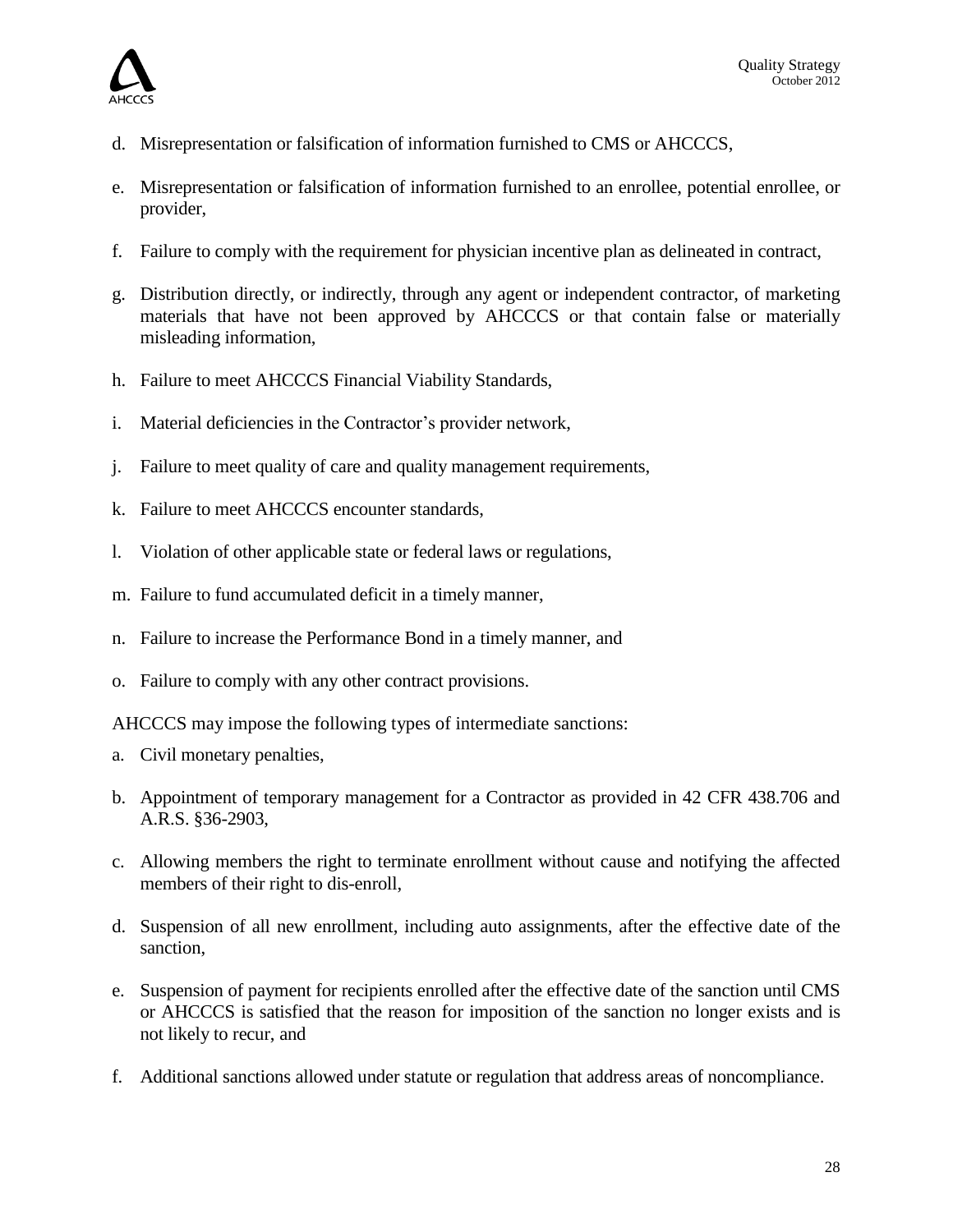

- d. Misrepresentation or falsification of information furnished to CMS or AHCCCS,
- e. Misrepresentation or falsification of information furnished to an enrollee, potential enrollee, or provider,
- f. Failure to comply with the requirement for physician incentive plan as delineated in contract,
- g. Distribution directly, or indirectly, through any agent or independent contractor, of marketing materials that have not been approved by AHCCCS or that contain false or materially misleading information,
- h. Failure to meet AHCCCS Financial Viability Standards,
- i. Material deficiencies in the Contractor's provider network,
- j. Failure to meet quality of care and quality management requirements,
- k. Failure to meet AHCCCS encounter standards,
- l. Violation of other applicable state or federal laws or regulations,
- m. Failure to fund accumulated deficit in a timely manner,
- n. Failure to increase the Performance Bond in a timely manner, and
- o. Failure to comply with any other contract provisions.

AHCCCS may impose the following types of intermediate sanctions:

- a. Civil monetary penalties,
- b. Appointment of temporary management for a Contractor as provided in 42 CFR 438.706 and A.R.S. §36-2903,
- c. Allowing members the right to terminate enrollment without cause and notifying the affected members of their right to dis-enroll,
- d. Suspension of all new enrollment, including auto assignments, after the effective date of the sanction,
- e. Suspension of payment for recipients enrolled after the effective date of the sanction until CMS or AHCCCS is satisfied that the reason for imposition of the sanction no longer exists and is not likely to recur, and
- f. Additional sanctions allowed under statute or regulation that address areas of noncompliance.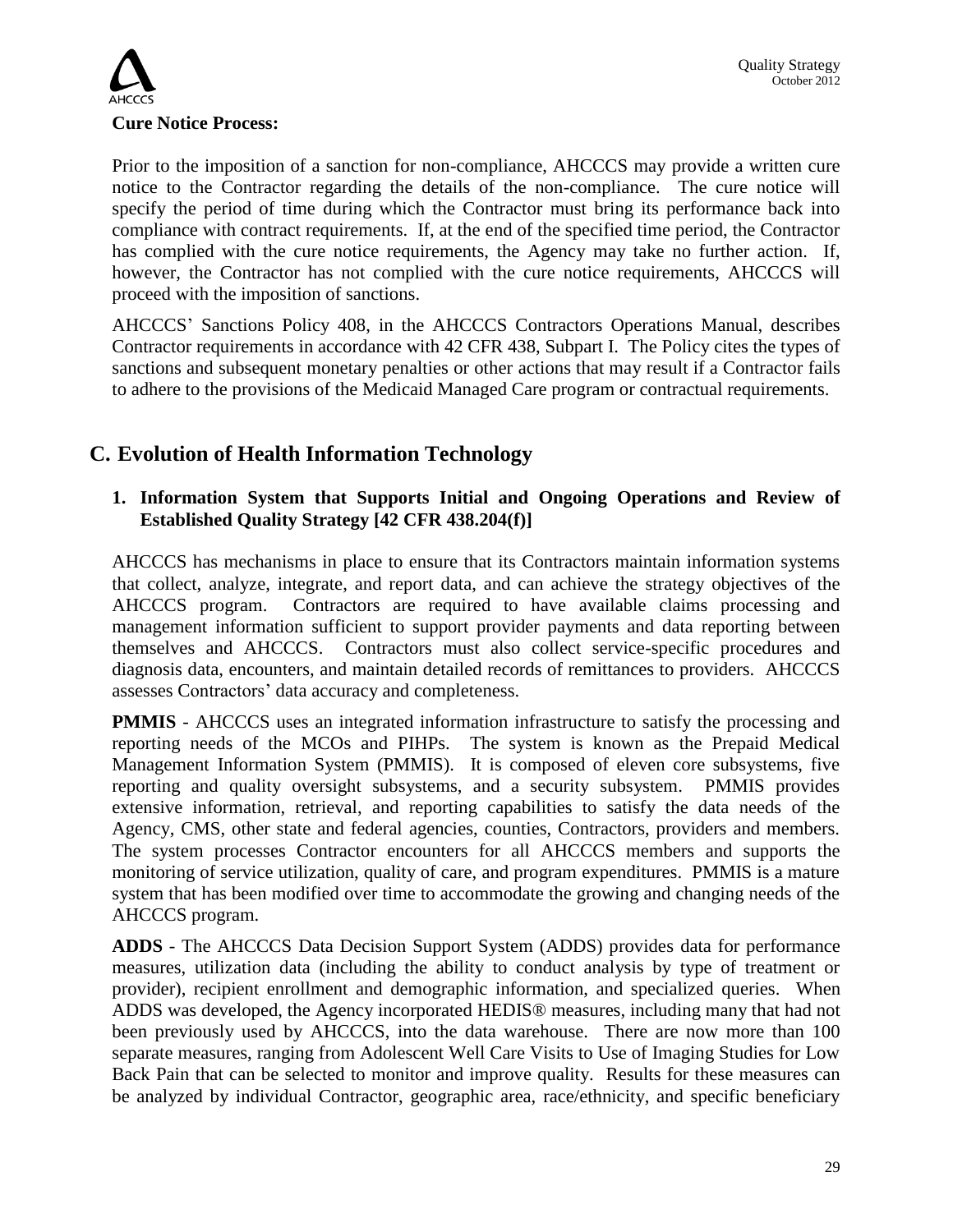

Prior to the imposition of a sanction for non-compliance, AHCCCS may provide a written cure notice to the Contractor regarding the details of the non-compliance. The cure notice will specify the period of time during which the Contractor must bring its performance back into compliance with contract requirements. If, at the end of the specified time period, the Contractor has complied with the cure notice requirements, the Agency may take no further action. If, however, the Contractor has not complied with the cure notice requirements, AHCCCS will proceed with the imposition of sanctions.

AHCCCS' Sanctions Policy 408, in the AHCCCS Contractors Operations Manual, describes Contractor requirements in accordance with 42 CFR 438, Subpart I. The Policy cites the types of sanctions and subsequent monetary penalties or other actions that may result if a Contractor fails to adhere to the provisions of the Medicaid Managed Care program or contractual requirements.

## **C. Evolution of Health Information Technology**

## **1. Information System that Supports Initial and Ongoing Operations and Review of Established Quality Strategy [42 CFR 438.204(f)]**

AHCCCS has mechanisms in place to ensure that its Contractors maintain information systems that collect, analyze, integrate, and report data, and can achieve the strategy objectives of the AHCCCS program. Contractors are required to have available claims processing and management information sufficient to support provider payments and data reporting between themselves and AHCCCS. Contractors must also collect service-specific procedures and diagnosis data, encounters, and maintain detailed records of remittances to providers. AHCCCS assesses Contractors' data accuracy and completeness.

**PMMIS** - AHCCCS uses an integrated information infrastructure to satisfy the processing and reporting needs of the MCOs and PIHPs. The system is known as the Prepaid Medical Management Information System (PMMIS). It is composed of eleven core subsystems, five reporting and quality oversight subsystems, and a security subsystem. PMMIS provides extensive information, retrieval, and reporting capabilities to satisfy the data needs of the Agency, CMS, other state and federal agencies, counties, Contractors, providers and members. The system processes Contractor encounters for all AHCCCS members and supports the monitoring of service utilization, quality of care, and program expenditures. PMMIS is a mature system that has been modified over time to accommodate the growing and changing needs of the AHCCCS program.

**ADDS** - The AHCCCS Data Decision Support System (ADDS) provides data for performance measures, utilization data (including the ability to conduct analysis by type of treatment or provider), recipient enrollment and demographic information, and specialized queries. When ADDS was developed, the Agency incorporated HEDIS® measures, including many that had not been previously used by AHCCCS, into the data warehouse. There are now more than 100 separate measures, ranging from Adolescent Well Care Visits to Use of Imaging Studies for Low Back Pain that can be selected to monitor and improve quality. Results for these measures can be analyzed by individual Contractor, geographic area, race/ethnicity, and specific beneficiary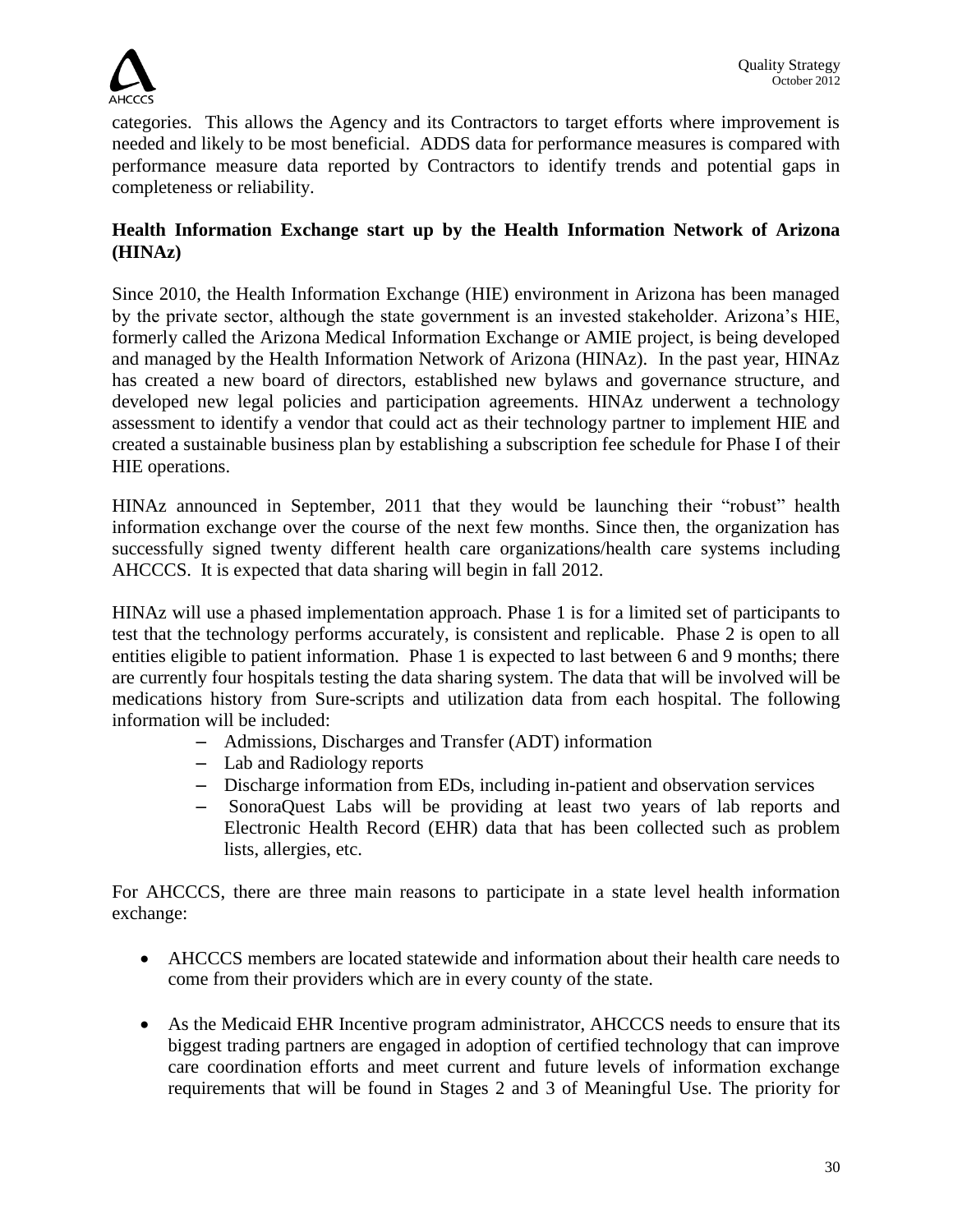

categories. This allows the Agency and its Contractors to target efforts where improvement is needed and likely to be most beneficial. ADDS data for performance measures is compared with performance measure data reported by Contractors to identify trends and potential gaps in completeness or reliability.

## **Health Information Exchange start up by the Health Information Network of Arizona (HINAz)**

Since 2010, the Health Information Exchange (HIE) environment in Arizona has been managed by the private sector, although the state government is an invested stakeholder. Arizona's HIE, formerly called the Arizona Medical Information Exchange or AMIE project, is being developed and managed by the Health Information Network of Arizona (HINAz). In the past year, HINAz has created a new board of directors, established new bylaws and governance structure, and developed new legal policies and participation agreements. HINAz underwent a technology assessment to identify a vendor that could act as their technology partner to implement HIE and created a sustainable business plan by establishing a subscription fee schedule for Phase I of their HIE operations.

HINAz announced in September, 2011 that they would be launching their "robust" health information exchange over the course of the next few months. Since then, the organization has successfully signed twenty different health care organizations/health care systems including AHCCCS. It is expected that data sharing will begin in fall 2012.

HINAz will use a phased implementation approach. Phase 1 is for a limited set of participants to test that the technology performs accurately, is consistent and replicable. Phase 2 is open to all entities eligible to patient information. Phase 1 is expected to last between 6 and 9 months; there are currently four hospitals testing the data sharing system. The data that will be involved will be medications history from Sure-scripts and utilization data from each hospital. The following information will be included:

- Admissions, Discharges and Transfer (ADT) information
- Lab and Radiology reports
- Discharge information from EDs, including in-patient and observation services
- SonoraQuest Labs will be providing at least two years of lab reports and Electronic Health Record (EHR) data that has been collected such as problem lists, allergies, etc.

For AHCCCS, there are three main reasons to participate in a state level health information exchange:

- AHCCCS members are located statewide and information about their health care needs to come from their providers which are in every county of the state.
- As the Medicaid EHR Incentive program administrator, AHCCCS needs to ensure that its biggest trading partners are engaged in adoption of certified technology that can improve care coordination efforts and meet current and future levels of information exchange requirements that will be found in Stages 2 and 3 of Meaningful Use. The priority for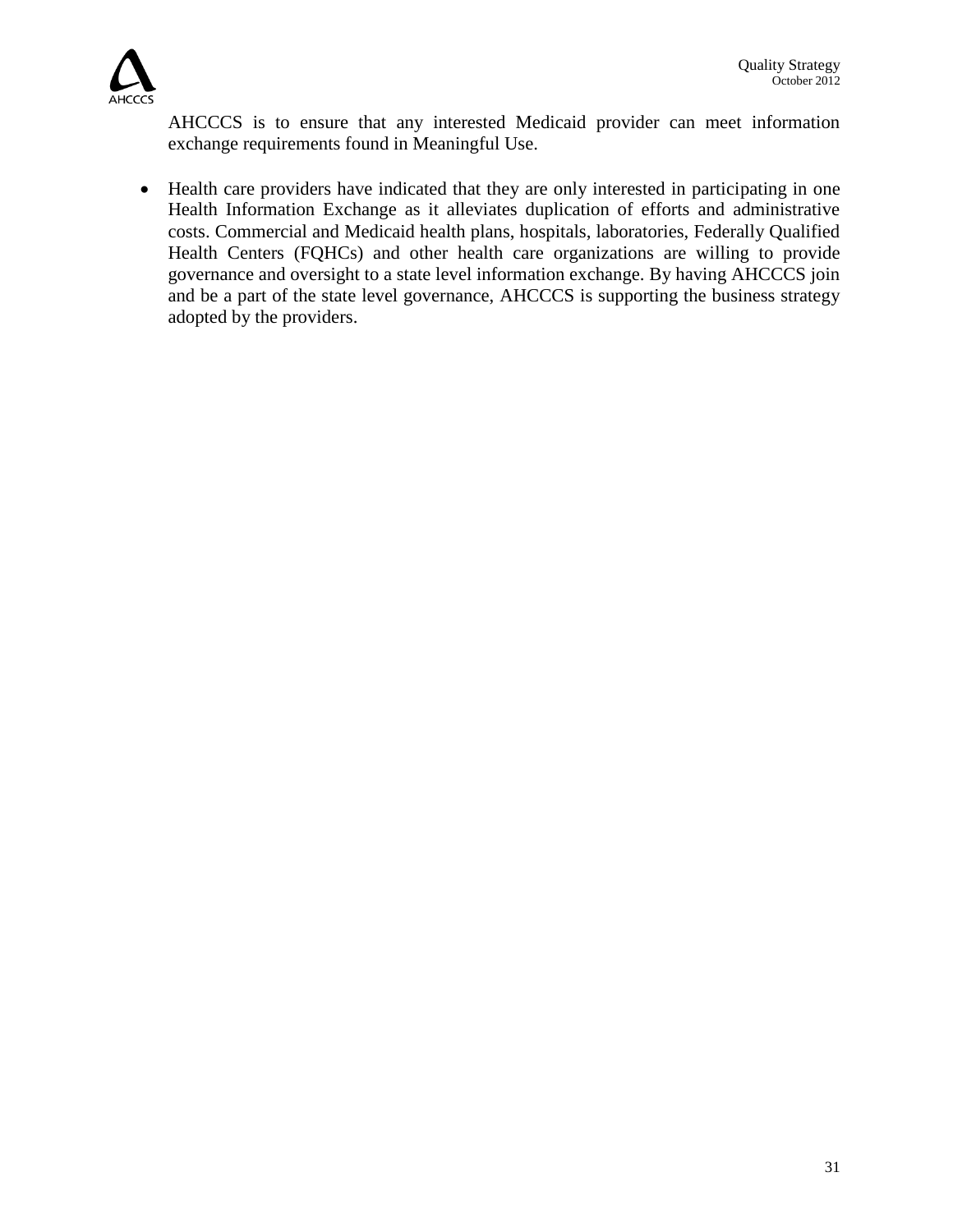

AHCCCS is to ensure that any interested Medicaid provider can meet information exchange requirements found in Meaningful Use.

• Health care providers have indicated that they are only interested in participating in one Health Information Exchange as it alleviates duplication of efforts and administrative costs. Commercial and Medicaid health plans, hospitals, laboratories, Federally Qualified Health Centers (FQHCs) and other health care organizations are willing to provide governance and oversight to a state level information exchange. By having AHCCCS join and be a part of the state level governance, AHCCCS is supporting the business strategy adopted by the providers.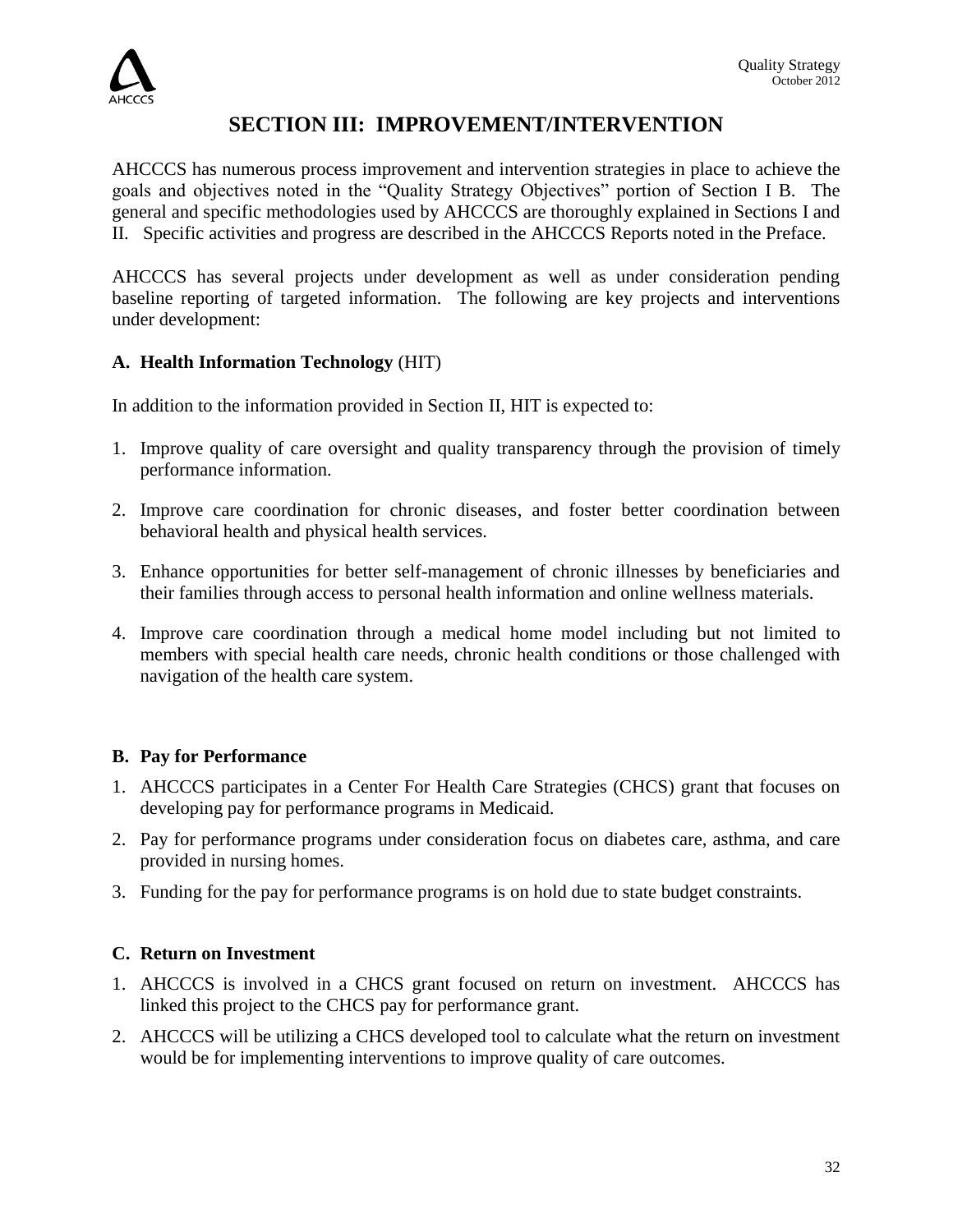

## **SECTION III: IMPROVEMENT/INTERVENTION**

AHCCCS has numerous process improvement and intervention strategies in place to achieve the goals and objectives noted in the "Quality Strategy Objectives" portion of Section I B. The general and specific methodologies used by AHCCCS are thoroughly explained in Sections I and II. Specific activities and progress are described in the AHCCCS Reports noted in the Preface.

AHCCCS has several projects under development as well as under consideration pending baseline reporting of targeted information. The following are key projects and interventions under development:

## **A. [Health](http://www.ahcccs.state.az.us/eHealth/) Information Technology** (HIT)

In addition to the information provided in Section II, HIT is expected to:

- 1. Improve quality of care oversight and quality transparency through the provision of timely performance information.
- 2. Improve care coordination for chronic diseases, and foster better coordination between behavioral health and physical health services.
- 3. Enhance opportunities for better self-management of chronic illnesses by beneficiaries and their families through access to personal health information and online wellness materials.
- 4. Improve care coordination through a medical home model including but not limited to members with special health care needs, chronic health conditions or those challenged with navigation of the health care system.

## **B. Pay for Performance**

- 1. AHCCCS participates in a Center For Health Care Strategies (CHCS) grant that focuses on developing pay for performance programs in Medicaid.
- 2. Pay for performance programs under consideration focus on diabetes care, asthma, and care provided in nursing homes.
- 3. Funding for the pay for performance programs is on hold due to state budget constraints.

## **C. Return on Investment**

- 1. AHCCCS is involved in a CHCS grant focused on return on investment. AHCCCS has linked this project to the CHCS pay for performance grant.
- 2. AHCCCS will be utilizing a CHCS developed tool to calculate what the return on investment would be for implementing interventions to improve quality of care outcomes.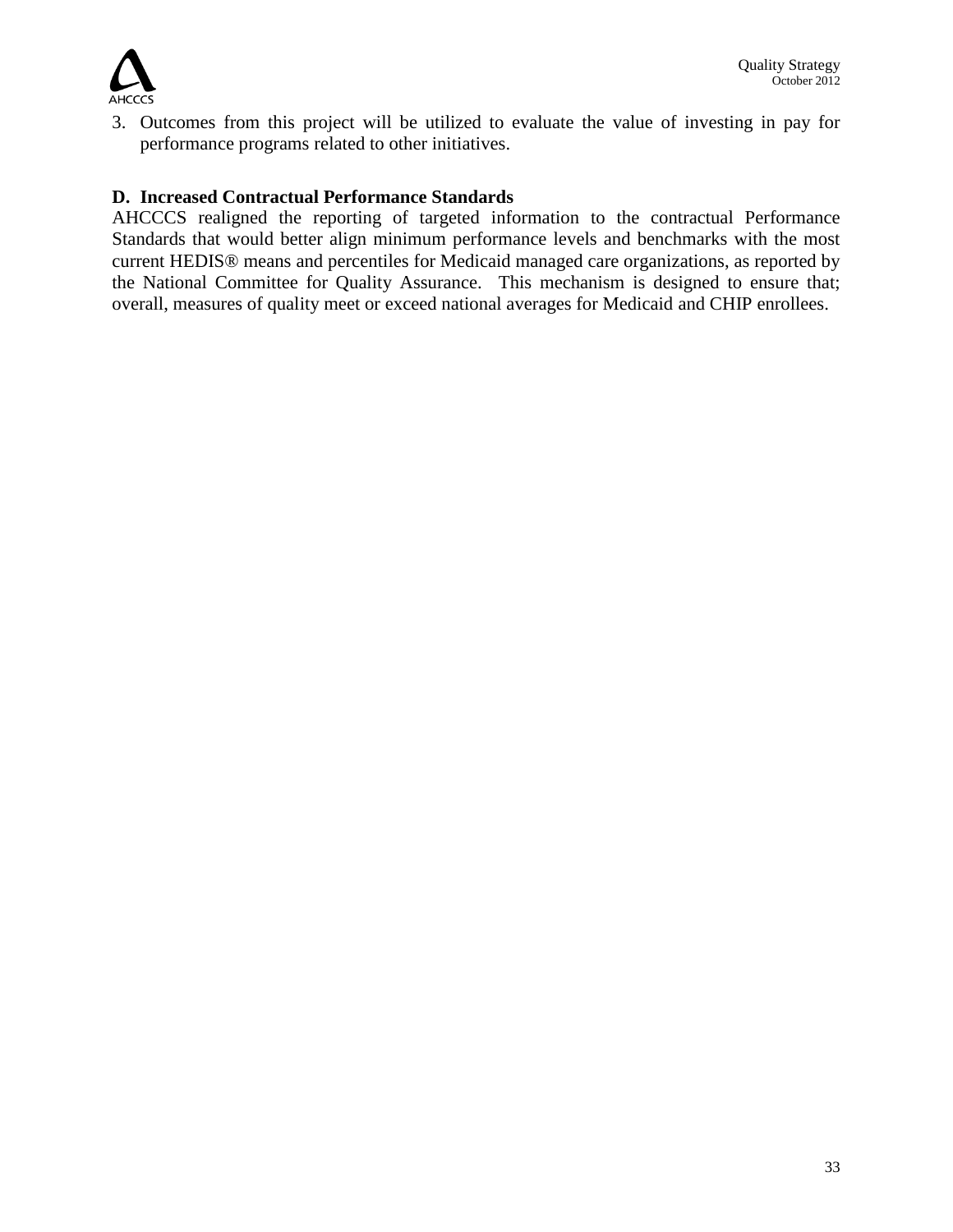

3. Outcomes from this project will be utilized to evaluate the value of investing in pay for performance programs related to other initiatives.

#### **D. Increased Contractual Performance Standards**

AHCCCS realigned the reporting of targeted information to the contractual Performance Standards that would better align minimum performance levels and benchmarks with the most current HEDIS® means and percentiles for Medicaid managed care organizations, as reported by the National Committee for Quality Assurance. This mechanism is designed to ensure that; overall, measures of quality meet or exceed national averages for Medicaid and CHIP enrollees.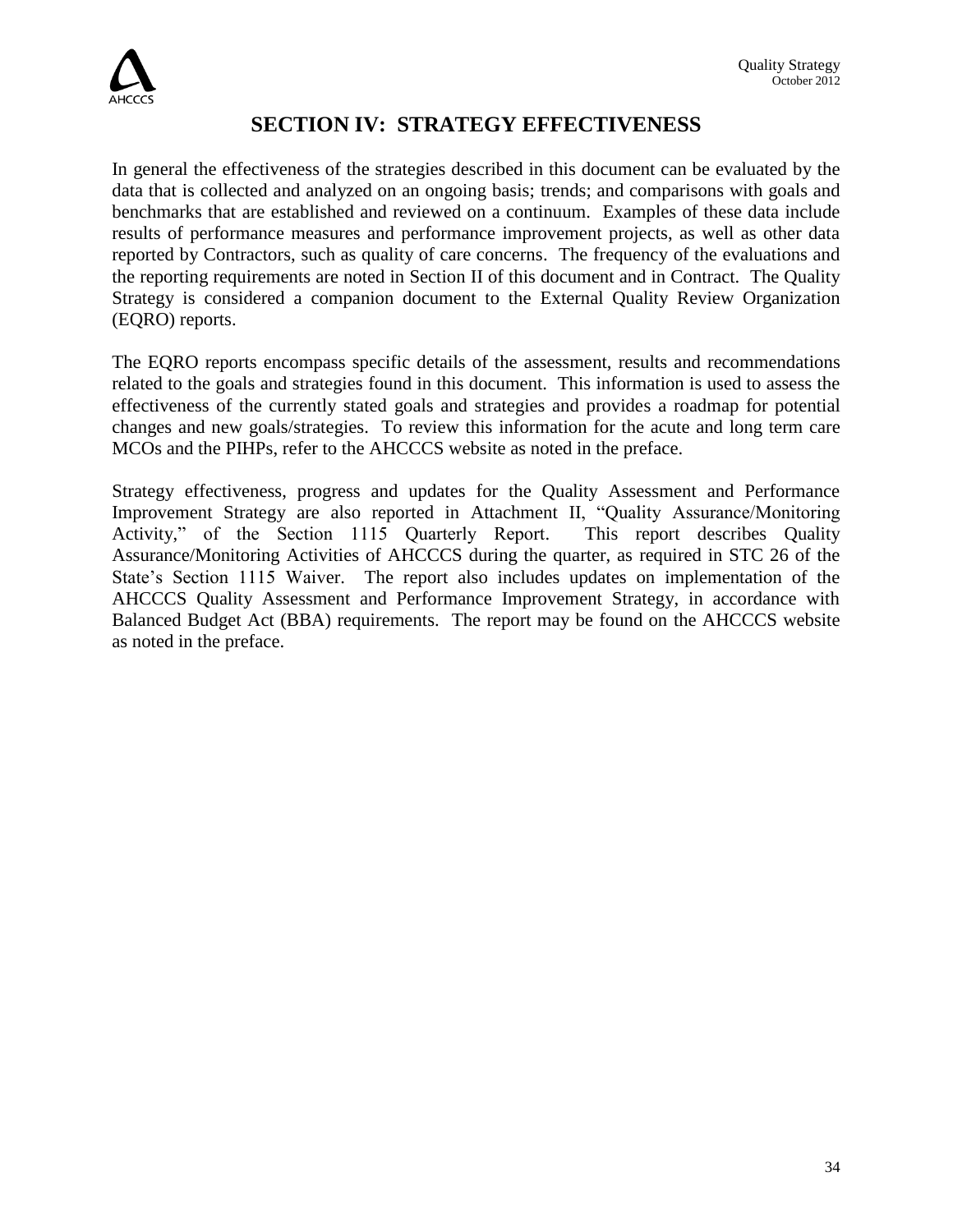

## **SECTION IV: STRATEGY EFFECTIVENESS**

In general the effectiveness of the strategies described in this document can be evaluated by the data that is collected and analyzed on an ongoing basis; trends; and comparisons with goals and benchmarks that are established and reviewed on a continuum. Examples of these data include results of performance measures and performance improvement projects, as well as other data reported by Contractors, such as quality of care concerns. The frequency of the evaluations and the reporting requirements are noted in Section II of this document and in Contract. The Quality Strategy is considered a companion document to the External Quality Review Organization (EQRO) reports.

The EQRO reports encompass specific details of the assessment, results and recommendations related to the goals and strategies found in this document. This information is used to assess the effectiveness of the currently stated goals and strategies and provides a roadmap for potential changes and new goals/strategies. To review this information for the acute and long term care MCOs and the PIHPs, refer to the AHCCCS website as noted in the preface.

Strategy effectiveness, progress and updates for the Quality Assessment and Performance Improvement Strategy are also reported in Attachment II, "Quality Assurance/Monitoring Activity," of the Section 1115 Quarterly Report. This report describes Quality Assurance/Monitoring Activities of AHCCCS during the quarter, as required in STC 26 of the State's Section 1115 Waiver. The report also includes updates on implementation of the AHCCCS Quality Assessment and Performance Improvement Strategy, in accordance with Balanced Budget Act (BBA) requirements. The report may be found on the AHCCCS website as noted in the preface.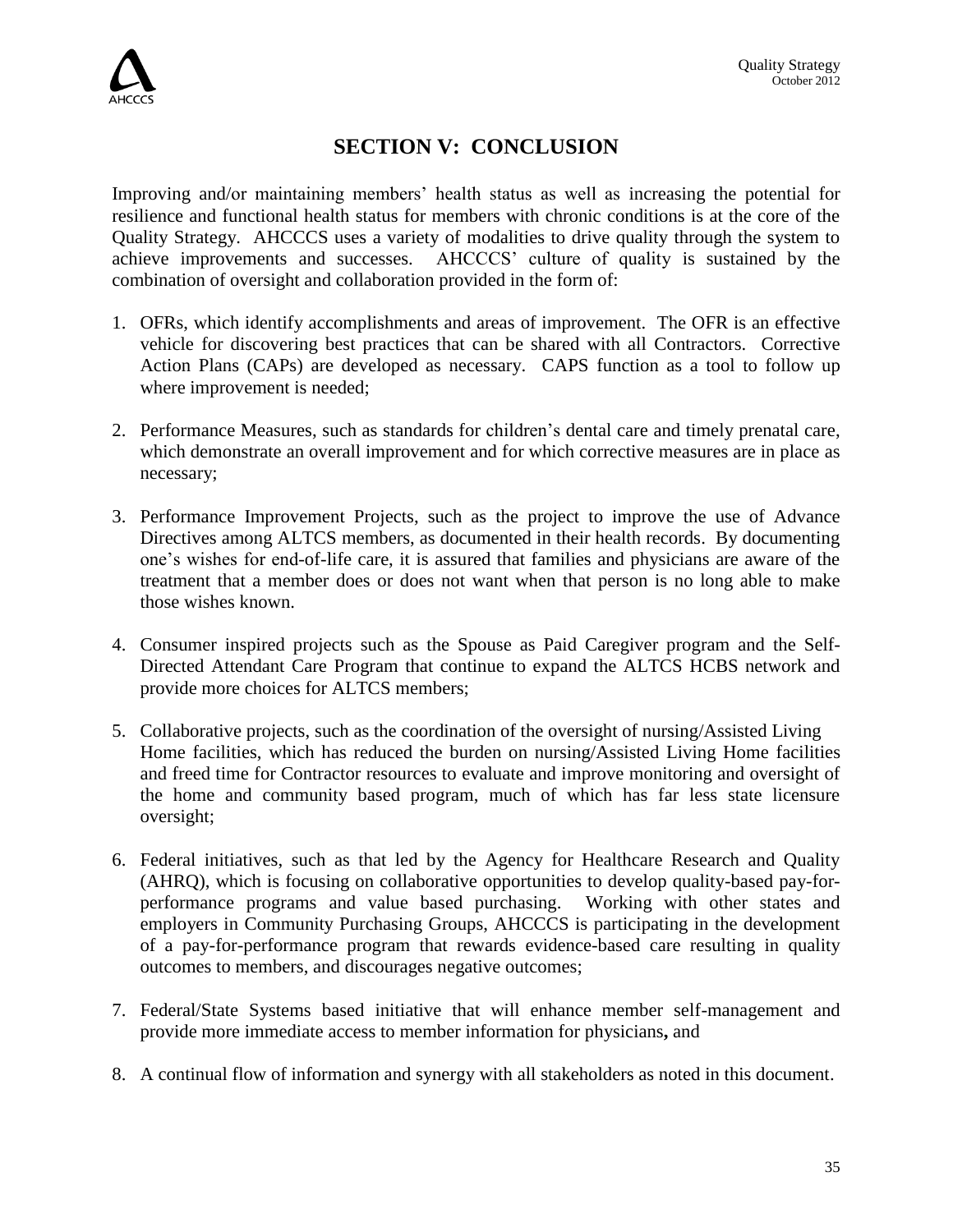## **SECTION V: CONCLUSION**

Improving and/or maintaining members' health status as well as increasing the potential for resilience and functional health status for members with chronic conditions is at the core of the Quality Strategy. AHCCCS uses a variety of modalities to drive quality through the system to achieve improvements and successes. AHCCCS' culture of quality is sustained by the combination of oversight and collaboration provided in the form of:

- 1. OFRs, which identify accomplishments and areas of improvement. The OFR is an effective vehicle for discovering best practices that can be shared with all Contractors.Corrective Action Plans (CAPs) are developed as necessary. CAPS function as a tool to follow up where improvement is needed;
- 2. Performance Measures, such as standards for children's dental care and timely prenatal care, which demonstrate an overall improvement and for which corrective measures are in place as necessary;
- 3. Performance Improvement Projects, such as the project to improve the use of Advance Directives among ALTCS members, as documented in their health records. By documenting one's wishes for end-of-life care, it is assured that families and physicians are aware of the treatment that a member does or does not want when that person is no long able to make those wishes known.
- 4. Consumer inspired projects such as the Spouse as Paid Caregiver program and the Self-Directed Attendant Care Program that continue to expand the ALTCS HCBS network and provide more choices for ALTCS members;
- 5. Collaborative projects, such as the coordination of the oversight of nursing/Assisted Living Home facilities, which has reduced the burden on nursing/Assisted Living Home facilities and freed time for Contractor resources to evaluate and improve monitoring and oversight of the home and community based program, much of which has far less state licensure oversight;
- 6. Federal initiatives, such as that led by the Agency for Healthcare Research and Quality (AHRQ), which is focusing on collaborative opportunities to develop quality-based pay-forperformance programs and value based purchasing. Working with other states and employers in Community Purchasing Groups, AHCCCS is participating in the development of a pay-for-performance program that rewards evidence-based care resulting in quality outcomes to members, and discourages negative outcomes;
- 7. Federal/State Systems based initiative that will enhance member self-management and provide more immediate access to member information for physicians**,** and
- 8. A continual flow of information and synergy with all stakeholders as noted in this document.